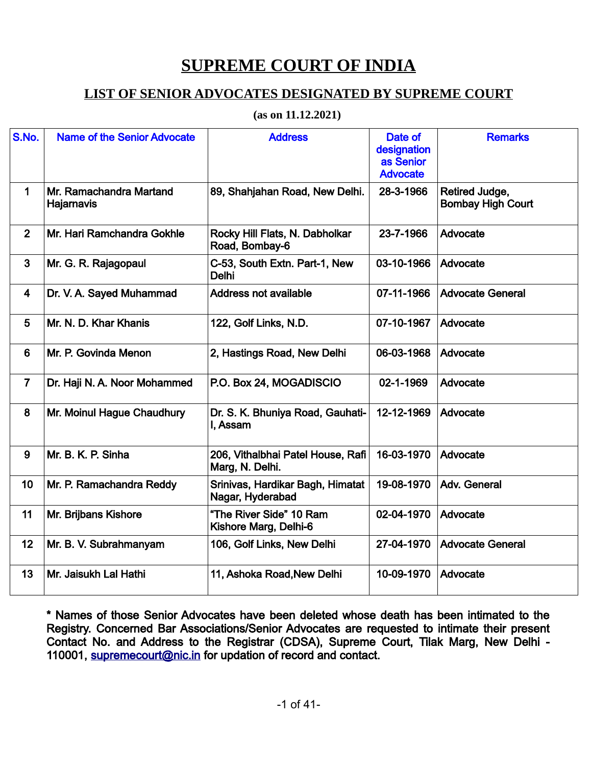## **SUPREME COURT OF INDIA**

## **LIST OF SENIOR ADVOCATES DESIGNATED BY SUPREME COURT**

## **(as on 11.12.2021)**

| S.No.          | <b>Name of the Senior Advocate</b>    | <b>Address</b>                                       | Date of<br>designation<br>as Senior<br><b>Advocate</b> | <b>Remarks</b>                             |
|----------------|---------------------------------------|------------------------------------------------------|--------------------------------------------------------|--------------------------------------------|
| $\mathbf 1$    | Mr. Ramachandra Martand<br>Hajarnavis | 89, Shahjahan Road, New Delhi.                       | 28-3-1966                                              | Retired Judge,<br><b>Bombay High Court</b> |
| $\overline{2}$ | Mr. Hari Ramchandra Gokhle            | Rocky Hill Flats, N. Dabholkar<br>Road, Bombay-6     | 23-7-1966                                              | Advocate                                   |
| $\overline{3}$ | Mr. G. R. Rajagopaul                  | C-53, South Extn. Part-1, New<br><b>Delhi</b>        | 03-10-1966                                             | Advocate                                   |
| $\overline{4}$ | Dr. V. A. Sayed Muhammad              | <b>Address not available</b>                         | 07-11-1966                                             | <b>Advocate General</b>                    |
| 5              | Mr. N. D. Khar Khanis                 | 122, Golf Links, N.D.                                | 07-10-1967                                             | Advocate                                   |
| $6\phantom{1}$ | Mr. P. Govinda Menon                  | 2, Hastings Road, New Delhi                          | 06-03-1968                                             | Advocate                                   |
| $\overline{7}$ | Dr. Haji N. A. Noor Mohammed          | P.O. Box 24, MOGADISCIO                              | 02-1-1969                                              | Advocate                                   |
| 8              | Mr. Moinul Hague Chaudhury            | Dr. S. K. Bhuniya Road, Gauhati-<br>I, Assam         | 12-12-1969                                             | Advocate                                   |
| 9              | Mr. B. K. P. Sinha                    | 206, Vithalbhai Patel House, Rafi<br>Marg, N. Delhi. | 16-03-1970                                             | Advocate                                   |
| 10             | Mr. P. Ramachandra Reddy              | Srinivas, Hardikar Bagh, Himatat<br>Nagar, Hyderabad | 19-08-1970                                             | Adv. General                               |
| 11             | Mr. Brijbans Kishore                  | "The River Side" 10 Ram<br>Kishore Marg, Delhi-6     | 02-04-1970                                             | Advocate                                   |
| 12             | Mr. B. V. Subrahmanyam                | 106, Golf Links, New Delhi                           | 27-04-1970                                             | <b>Advocate General</b>                    |
| 13             | Mr. Jaisukh Lal Hathi                 | 11, Ashoka Road, New Delhi                           | 10-09-1970                                             | Advocate                                   |

\* Names of those Senior Advocates have been deleted whose death has been intimated to the Registry. Concerned Bar Associations/Senior Advocates are requested to intimate their present Contact No. and Address to the Registrar (CDSA), Supreme Court, Tilak Marg, New Delhi 110001, [supremecourt@nic.in](mailto:supremecourt@nic.in) for updation of record and contact.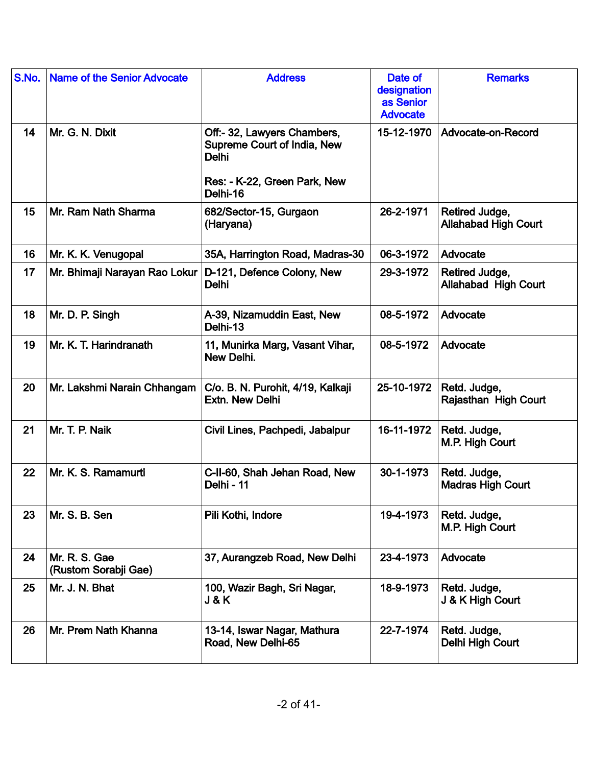| S.No. | <b>Name of the Senior Advocate</b>    | <b>Address</b>                                                                                             | Date of<br>designation<br>as Senior<br><b>Advocate</b> | <b>Remarks</b>                                |
|-------|---------------------------------------|------------------------------------------------------------------------------------------------------------|--------------------------------------------------------|-----------------------------------------------|
| 14    | Mr. G. N. Dixit                       | Off:- 32, Lawyers Chambers,<br>Supreme Court of India, New<br><b>Delhi</b><br>Res: - K-22, Green Park, New | 15-12-1970                                             | Advocate-on-Record                            |
|       |                                       | Delhi-16                                                                                                   |                                                        |                                               |
| 15    | Mr. Ram Nath Sharma                   | 682/Sector-15, Gurgaon<br>(Haryana)                                                                        | 26-2-1971                                              | Retired Judge,<br><b>Allahabad High Court</b> |
| 16    | Mr. K. K. Venugopal                   | 35A, Harrington Road, Madras-30                                                                            | 06-3-1972                                              | Advocate                                      |
| 17    | Mr. Bhimaji Narayan Rao Lokur         | D-121, Defence Colony, New<br><b>Delhi</b>                                                                 | 29-3-1972                                              | Retired Judge,<br><b>Allahabad High Court</b> |
| 18    | Mr. D. P. Singh                       | A-39, Nizamuddin East, New<br>Delhi-13                                                                     | 08-5-1972                                              | Advocate                                      |
| 19    | Mr. K. T. Harindranath                | 11, Munirka Marg, Vasant Vihar,<br>New Delhi.                                                              | 08-5-1972                                              | Advocate                                      |
| 20    | Mr. Lakshmi Narain Chhangam           | C/o. B. N. Purohit, 4/19, Kalkaji<br>Extn. New Delhi                                                       | 25-10-1972                                             | Retd. Judge,<br>Rajasthan High Court          |
| 21    | Mr. T. P. Naik                        | Civil Lines, Pachpedi, Jabalpur                                                                            | 16-11-1972                                             | Retd. Judge,<br>M.P. High Court               |
| 22    | Mr. K. S. Ramamurti                   | C-II-60, Shah Jehan Road, New<br>Delhi - 11                                                                | 30-1-1973                                              | Retd. Judge,<br><b>Madras High Court</b>      |
| 23    | Mr. S. B. Sen                         | Pili Kothi, Indore                                                                                         | 19-4-1973                                              | Retd. Judge,<br>M.P. High Court               |
| 24    | Mr. R. S. Gae<br>(Rustom Sorabji Gae) | 37, Aurangzeb Road, New Delhi                                                                              | 23-4-1973                                              | Advocate                                      |
| 25    | Mr. J. N. Bhat                        | 100, Wazir Bagh, Sri Nagar,<br>J&K                                                                         | 18-9-1973                                              | Retd. Judge,<br>J & K High Court              |
| 26    | Mr. Prem Nath Khanna                  | 13-14, Iswar Nagar, Mathura<br>Road, New Delhi-65                                                          | 22-7-1974                                              | Retd. Judge,<br>Delhi High Court              |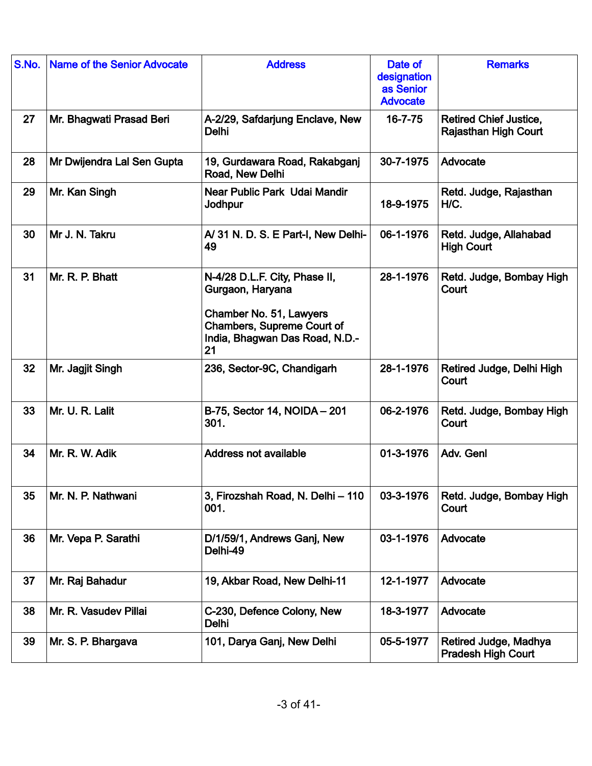| S.No. | Name of the Senior Advocate | <b>Address</b>                                                                                                                                     | Date of<br>designation<br>as Senior<br><b>Advocate</b> | <b>Remarks</b>                                               |
|-------|-----------------------------|----------------------------------------------------------------------------------------------------------------------------------------------------|--------------------------------------------------------|--------------------------------------------------------------|
| 27    | Mr. Bhagwati Prasad Beri    | A-2/29, Safdarjung Enclave, New<br>Delhi                                                                                                           | $16 - 7 - 75$                                          | <b>Retired Chief Justice,</b><br><b>Rajasthan High Court</b> |
| 28    | Mr Dwijendra Lal Sen Gupta  | 19, Gurdawara Road, Rakabganj<br>Road, New Delhi                                                                                                   | 30-7-1975                                              | Advocate                                                     |
| 29    | Mr. Kan Singh               | Near Public Park Udai Mandir<br>Jodhpur                                                                                                            | 18-9-1975                                              | Retd. Judge, Rajasthan<br>H/C.                               |
| 30    | Mr J. N. Takru              | A/31 N. D. S. E Part-I, New Delhi-<br>49                                                                                                           | 06-1-1976                                              | Retd. Judge, Allahabad<br><b>High Court</b>                  |
| 31    | Mr. R. P. Bhatt             | N-4/28 D.L.F. City, Phase II,<br>Gurgaon, Haryana<br>Chamber No. 51, Lawyers<br>Chambers, Supreme Court of<br>India, Bhagwan Das Road, N.D.-<br>21 | 28-1-1976                                              | Retd. Judge, Bombay High<br>Court                            |
| 32    | Mr. Jagjit Singh            | 236, Sector-9C, Chandigarh                                                                                                                         | 28-1-1976                                              | Retired Judge, Delhi High<br>Court                           |
| 33    | Mr. U. R. Lalit             | B-75, Sector 14, NOIDA - 201<br>301.                                                                                                               | 06-2-1976                                              | Retd. Judge, Bombay High<br>Court                            |
| 34    | Mr. R. W. Adik              | <b>Address not available</b>                                                                                                                       | 01-3-1976                                              | Adv. Genl                                                    |
| 35    | Mr. N. P. Nathwani          | 3, Firozshah Road, N. Delhi - 110<br>001.                                                                                                          | 03-3-1976                                              | Retd. Judge, Bombay High<br>Court                            |
| 36    | Mr. Vepa P. Sarathi         | D/1/59/1, Andrews Ganj, New<br>Delhi-49                                                                                                            | 03-1-1976                                              | Advocate                                                     |
| 37    | Mr. Raj Bahadur             | 19, Akbar Road, New Delhi-11                                                                                                                       | 12-1-1977                                              | Advocate                                                     |
| 38    | Mr. R. Vasudev Pillai       | C-230, Defence Colony, New<br>Delhi                                                                                                                | 18-3-1977                                              | Advocate                                                     |
| 39    | Mr. S. P. Bhargava          | 101, Darya Ganj, New Delhi                                                                                                                         | 05-5-1977                                              | Retired Judge, Madhya<br><b>Pradesh High Court</b>           |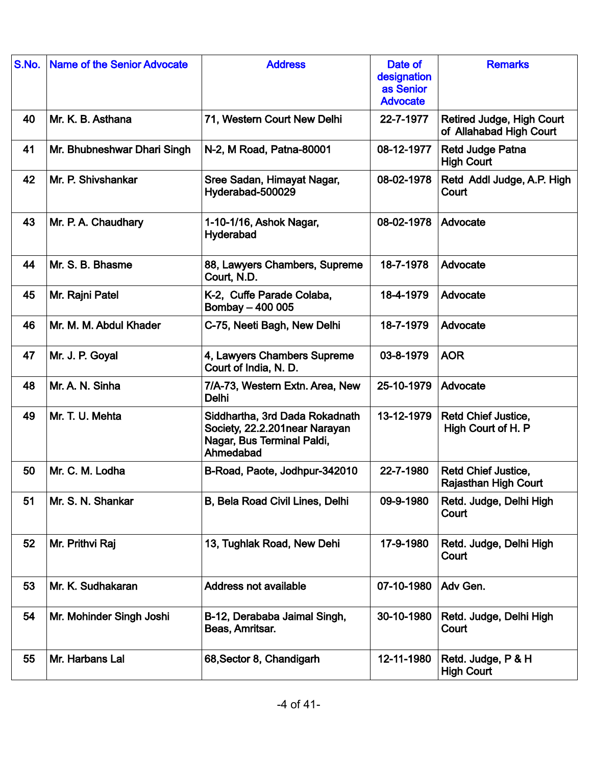| S.No. | <b>Name of the Senior Advocate</b> | <b>Address</b>                                                                                             | Date of<br>designation<br>as Senior<br><b>Advocate</b> | <b>Remarks</b>                                            |
|-------|------------------------------------|------------------------------------------------------------------------------------------------------------|--------------------------------------------------------|-----------------------------------------------------------|
| 40    | Mr. K. B. Asthana                  | 71, Western Court New Delhi                                                                                | 22-7-1977                                              | Retired Judge, High Court<br>of Allahabad High Court      |
| 41    | Mr. Bhubneshwar Dhari Singh        | N-2, M Road, Patna-80001                                                                                   | 08-12-1977                                             | <b>Retd Judge Patna</b><br><b>High Court</b>              |
| 42    | Mr. P. Shivshankar                 | Sree Sadan, Himayat Nagar,<br>Hyderabad-500029                                                             | 08-02-1978                                             | Retd Addl Judge, A.P. High<br>Court                       |
| 43    | Mr. P. A. Chaudhary                | 1-10-1/16, Ashok Nagar,<br>Hyderabad                                                                       | 08-02-1978                                             | Advocate                                                  |
| 44    | Mr. S. B. Bhasme                   | 88, Lawyers Chambers, Supreme<br>Court, N.D.                                                               | 18-7-1978                                              | Advocate                                                  |
| 45    | Mr. Rajni Patel                    | K-2, Cuffe Parade Colaba,<br>Bombay - 400 005                                                              | 18-4-1979                                              | Advocate                                                  |
| 46    | Mr. M. M. Abdul Khader             | C-75, Neeti Bagh, New Delhi                                                                                | 18-7-1979                                              | Advocate                                                  |
| 47    | Mr. J. P. Goyal                    | 4, Lawyers Chambers Supreme<br>Court of India, N. D.                                                       | 03-8-1979                                              | <b>AOR</b>                                                |
| 48    | Mr. A. N. Sinha                    | 7/A-73, Western Extn. Area, New<br>Delhi                                                                   | 25-10-1979                                             | Advocate                                                  |
| 49    | Mr. T. U. Mehta                    | Siddhartha, 3rd Dada Rokadnath<br>Society, 22.2.201near Narayan<br>Nagar, Bus Terminal Paldi,<br>Ahmedabad | 13-12-1979                                             | Retd Chief Justice,<br>High Court of H. P                 |
| 50    | Mr. C. M. Lodha                    | B-Road, Paote, Jodhpur-342010                                                                              | 22-7-1980                                              | <b>Retd Chief Justice,</b><br><b>Rajasthan High Court</b> |
| 51    | Mr. S. N. Shankar                  | B, Bela Road Civil Lines, Delhi                                                                            | 09-9-1980                                              | Retd. Judge, Delhi High<br>Court                          |
| 52    | Mr. Prithvi Raj                    | 13, Tughlak Road, New Dehi                                                                                 | 17-9-1980                                              | Retd. Judge, Delhi High<br>Court                          |
| 53    | Mr. K. Sudhakaran                  | <b>Address not available</b>                                                                               | 07-10-1980                                             | Adv Gen.                                                  |
| 54    | Mr. Mohinder Singh Joshi           | B-12, Derababa Jaimal Singh,<br>Beas, Amritsar.                                                            | 30-10-1980                                             | Retd. Judge, Delhi High<br>Court                          |
| 55    | Mr. Harbans Lal                    | 68, Sector 8, Chandigarh                                                                                   | 12-11-1980                                             | Retd. Judge, P & H<br><b>High Court</b>                   |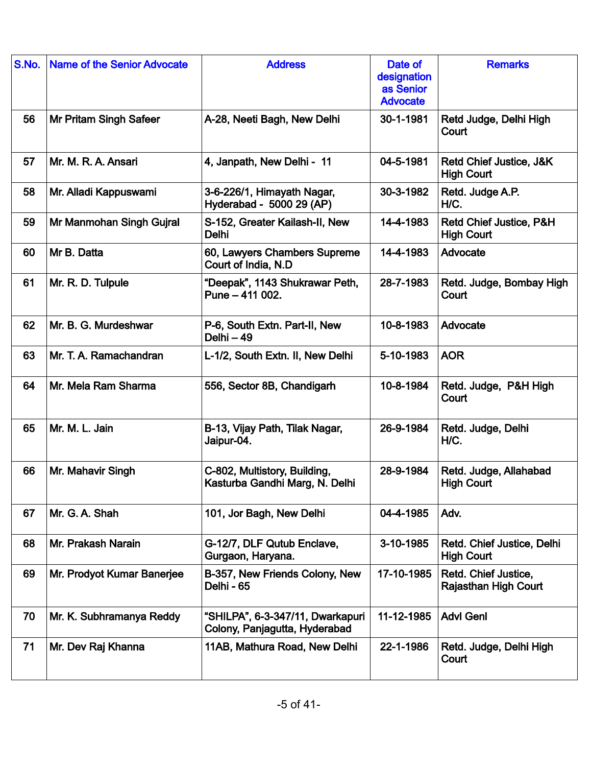| S.No. | <b>Name of the Senior Advocate</b> | <b>Address</b>                                                    | Date of<br>designation<br>as Senior<br><b>Advocate</b> | <b>Remarks</b>                                      |
|-------|------------------------------------|-------------------------------------------------------------------|--------------------------------------------------------|-----------------------------------------------------|
| 56    | <b>Mr Pritam Singh Safeer</b>      | A-28, Neeti Bagh, New Delhi                                       | 30-1-1981                                              | Retd Judge, Delhi High<br>Court                     |
| 57    | Mr. M. R. A. Ansari                | 4, Janpath, New Delhi - 11                                        | 04-5-1981                                              | Retd Chief Justice, J&K<br><b>High Court</b>        |
| 58    | Mr. Alladi Kappuswami              | 3-6-226/1, Himayath Nagar,<br>Hyderabad - 5000 29 (AP)            | 30-3-1982                                              | Retd. Judge A.P.<br>H/C.                            |
| 59    | Mr Manmohan Singh Gujral           | S-152, Greater Kailash-II, New<br>Delhi                           | 14-4-1983                                              | Retd Chief Justice, P&H<br><b>High Court</b>        |
| 60    | Mr B. Datta                        | 60, Lawyers Chambers Supreme<br>Court of India, N.D.              | 14-4-1983                                              | Advocate                                            |
| 61    | Mr. R. D. Tulpule                  | "Deepak", 1143 Shukrawar Peth,<br>Pune - 411 002.                 | 28-7-1983                                              | Retd. Judge, Bombay High<br>Court                   |
| 62    | Mr. B. G. Murdeshwar               | P-6, South Extn. Part-II, New<br>Delhi - 49                       | 10-8-1983                                              | Advocate                                            |
| 63    | Mr. T. A. Ramachandran             | L-1/2, South Extn. II, New Delhi                                  | 5-10-1983                                              | <b>AOR</b>                                          |
| 64    | Mr. Mela Ram Sharma                | 556, Sector 8B, Chandigarh                                        | 10-8-1984                                              | Retd. Judge, P&H High<br>Court                      |
| 65    | Mr. M. L. Jain                     | B-13, Vijay Path, Tilak Nagar,<br>Jaipur-04.                      | 26-9-1984                                              | Retd. Judge, Delhi<br>H/C.                          |
| 66    | Mr. Mahavir Singh                  | C-802, Multistory, Building,<br>Kasturba Gandhi Marg, N. Delhi    | 28-9-1984                                              | Retd. Judge, Allahabad<br><b>High Court</b>         |
| 67    | Mr. G. A. Shah                     | 101, Jor Bagh, New Delhi                                          | 04-4-1985                                              | Adv.                                                |
| 68    | Mr. Prakash Narain                 | G-12/7, DLF Qutub Enclave,<br>Gurgaon, Haryana.                   | 3-10-1985                                              | Retd. Chief Justice, Delhi<br><b>High Court</b>     |
| 69    | Mr. Prodyot Kumar Banerjee         | B-357, New Friends Colony, New<br>Delhi - 65                      | 17-10-1985                                             | Retd. Chief Justice,<br><b>Rajasthan High Court</b> |
| 70    | Mr. K. Subhramanya Reddy           | "SHILPA", 6-3-347/11, Dwarkapuri<br>Colony, Panjagutta, Hyderabad | 11-12-1985                                             | <b>Advl Genl</b>                                    |
| 71    | Mr. Dev Raj Khanna                 | 11AB, Mathura Road, New Delhi                                     | 22-1-1986                                              | Retd. Judge, Delhi High<br>Court                    |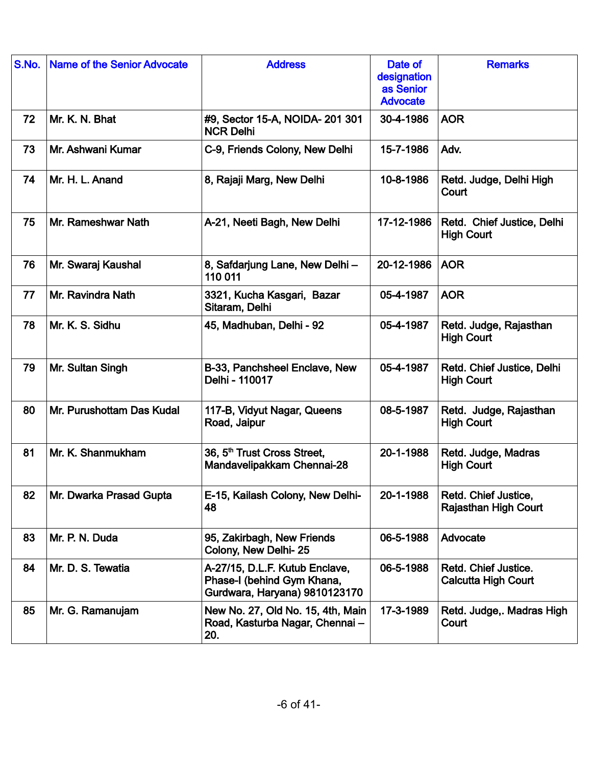| S.No. | <b>Name of the Senior Advocate</b> | <b>Address</b>                                                                                | Date of<br>designation<br>as Senior<br><b>Advocate</b> | <b>Remarks</b>                                      |
|-------|------------------------------------|-----------------------------------------------------------------------------------------------|--------------------------------------------------------|-----------------------------------------------------|
| 72    | Mr. K. N. Bhat                     | #9, Sector 15-A, NOIDA- 201 301<br><b>NCR Delhi</b>                                           | 30-4-1986                                              | <b>AOR</b>                                          |
| 73    | Mr. Ashwani Kumar                  | C-9, Friends Colony, New Delhi                                                                | 15-7-1986                                              | Adv.                                                |
| 74    | Mr. H. L. Anand                    | 8, Rajaji Marg, New Delhi                                                                     | 10-8-1986                                              | Retd. Judge, Delhi High<br>Court                    |
| 75    | Mr. Rameshwar Nath                 | A-21, Neeti Bagh, New Delhi                                                                   | 17-12-1986                                             | Retd. Chief Justice, Delhi<br><b>High Court</b>     |
| 76    | Mr. Swaraj Kaushal                 | 8, Safdarjung Lane, New Delhi -<br>110 011                                                    | 20-12-1986                                             | <b>AOR</b>                                          |
| 77    | Mr. Ravindra Nath                  | 3321, Kucha Kasgari, Bazar<br>Sitaram, Delhi                                                  | 05-4-1987                                              | <b>AOR</b>                                          |
| 78    | Mr. K. S. Sidhu                    | 45, Madhuban, Delhi - 92                                                                      | 05-4-1987                                              | Retd. Judge, Rajasthan<br><b>High Court</b>         |
| 79    | Mr. Sultan Singh                   | B-33, Panchsheel Enclave, New<br>Delhi - 110017                                               | 05-4-1987                                              | Retd. Chief Justice, Delhi<br><b>High Court</b>     |
| 80    | Mr. Purushottam Das Kudal          | 117-B, Vidyut Nagar, Queens<br>Road, Jaipur                                                   | 08-5-1987                                              | Retd. Judge, Rajasthan<br><b>High Court</b>         |
| 81    | Mr. K. Shanmukham                  | 36, 5 <sup>th</sup> Trust Cross Street,<br>Mandavelipakkam Chennai-28                         | 20-1-1988                                              | Retd. Judge, Madras<br><b>High Court</b>            |
| 82    | Mr. Dwarka Prasad Gupta            | E-15, Kailash Colony, New Delhi-<br>48                                                        | 20-1-1988                                              | Retd. Chief Justice,<br><b>Rajasthan High Court</b> |
| 83    | Mr. P. N. Duda                     | 95, Zakirbagh, New Friends<br>Colony, New Delhi-25                                            | 06-5-1988                                              | Advocate                                            |
| 84    | Mr. D. S. Tewatia                  | A-27/15, D.L.F. Kutub Enclave,<br>Phase-I (behind Gym Khana,<br>Gurdwara, Haryana) 9810123170 | 06-5-1988                                              | Retd. Chief Justice.<br><b>Calcutta High Court</b>  |
| 85    | Mr. G. Ramanujam                   | New No. 27, Old No. 15, 4th, Main<br>Road, Kasturba Nagar, Chennai-<br>20.                    | 17-3-1989                                              | Retd. Judge,. Madras High<br>Court                  |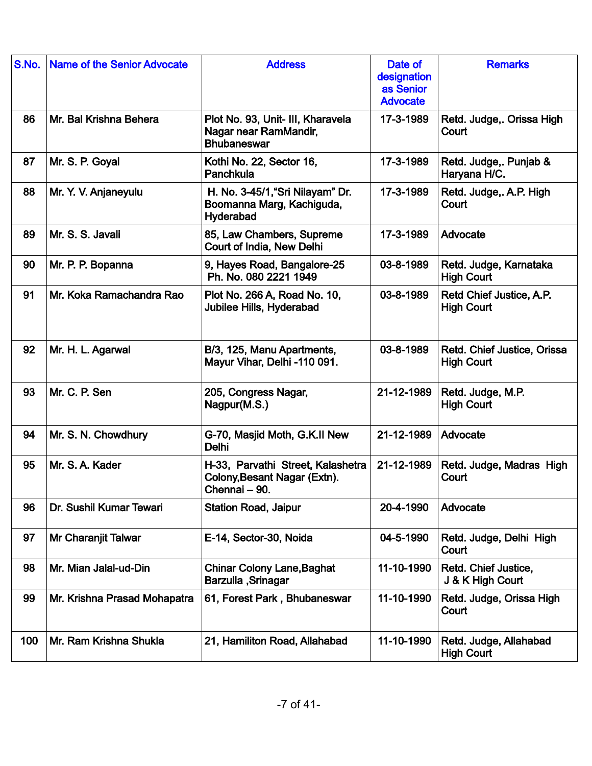| S.No. | Name of the Senior Advocate  | <b>Address</b>                                                                     | Date of<br>designation<br>as Senior<br><b>Advocate</b> | <b>Remarks</b>                                   |
|-------|------------------------------|------------------------------------------------------------------------------------|--------------------------------------------------------|--------------------------------------------------|
| 86    | Mr. Bal Krishna Behera       | Plot No. 93, Unit- III, Kharavela<br>Nagar near RamMandir,<br><b>Bhubaneswar</b>   | 17-3-1989                                              | Retd. Judge,. Orissa High<br>Court               |
| 87    | Mr. S. P. Goyal              | Kothi No. 22, Sector 16,<br>Panchkula                                              | 17-3-1989                                              | Retd. Judge,. Punjab &<br>Haryana H/C.           |
| 88    | Mr. Y. V. Anjaneyulu         | H. No. 3-45/1, "Sri Nilayam" Dr.<br>Boomanna Marg, Kachiguda,<br>Hyderabad         | 17-3-1989                                              | Retd. Judge,. A.P. High<br>Court                 |
| 89    | Mr. S. S. Javali             | 85, Law Chambers, Supreme<br>Court of India, New Delhi                             | 17-3-1989                                              | Advocate                                         |
| 90    | Mr. P. P. Bopanna            | 9, Hayes Road, Bangalore-25<br>Ph. No. 080 2221 1949                               | 03-8-1989                                              | Retd. Judge, Karnataka<br><b>High Court</b>      |
| 91    | Mr. Koka Ramachandra Rao     | Plot No. 266 A, Road No. 10,<br>Jubilee Hills, Hyderabad                           | 03-8-1989                                              | Retd Chief Justice, A.P.<br><b>High Court</b>    |
| 92    | Mr. H. L. Agarwal            | B/3, 125, Manu Apartments,<br>Mayur Vihar, Delhi -110 091.                         | 03-8-1989                                              | Retd. Chief Justice, Orissa<br><b>High Court</b> |
| 93    | Mr. C. P. Sen                | 205, Congress Nagar,<br>Nagpur(M.S.)                                               | 21-12-1989                                             | Retd. Judge, M.P.<br><b>High Court</b>           |
| 94    | Mr. S. N. Chowdhury          | G-70, Masjid Moth, G.K.II New<br>Delhi                                             | 21-12-1989                                             | Advocate                                         |
| 95    | Mr. S. A. Kader              | H-33, Parvathi Street, Kalashetra<br>Colony, Besant Nagar (Extn).<br>Chennai - 90. | 21-12-1989                                             | Retd. Judge, Madras High<br>Court                |
| 96    | Dr. Sushil Kumar Tewari      | <b>Station Road, Jaipur</b>                                                        | 20-4-1990                                              | Advocate                                         |
| 97    | Mr Charanjit Talwar          | E-14, Sector-30, Noida                                                             | 04-5-1990                                              | Retd. Judge, Delhi High<br>Court                 |
| 98    | Mr. Mian Jalal-ud-Din        | <b>Chinar Colony Lane, Baghat</b><br><b>Barzulla</b> , Srinagar                    | 11-10-1990                                             | Retd. Chief Justice,<br>J & K High Court         |
| 99    | Mr. Krishna Prasad Mohapatra | 61, Forest Park, Bhubaneswar                                                       | 11-10-1990                                             | Retd. Judge, Orissa High<br>Court                |
| 100   | Mr. Ram Krishna Shukla       | 21, Hamiliton Road, Allahabad                                                      | 11-10-1990                                             | Retd. Judge, Allahabad<br><b>High Court</b>      |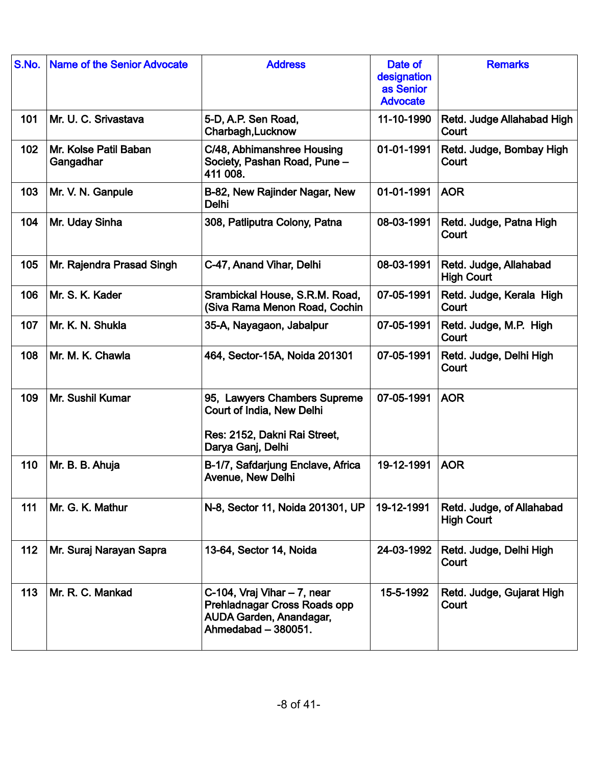| S.No. | <b>Name of the Senior Advocate</b> | <b>Address</b>                                                                                                  | Date of<br>designation<br>as Senior<br><b>Advocate</b> | <b>Remarks</b>                                 |
|-------|------------------------------------|-----------------------------------------------------------------------------------------------------------------|--------------------------------------------------------|------------------------------------------------|
| 101   | Mr. U. C. Srivastava               | 5-D, A.P. Sen Road,<br>Charbagh, Lucknow                                                                        | 11-10-1990                                             | Retd. Judge Allahabad High<br>Court            |
| 102   | Mr. Kolse Patil Baban<br>Gangadhar | C/48, Abhimanshree Housing<br>Society, Pashan Road, Pune -<br>411 008.                                          | 01-01-1991                                             | Retd. Judge, Bombay High<br>Court              |
| 103   | Mr. V. N. Ganpule                  | B-82, New Rajinder Nagar, New<br>Delhi                                                                          | 01-01-1991                                             | <b>AOR</b>                                     |
| 104   | Mr. Uday Sinha                     | 308, Patliputra Colony, Patna                                                                                   | 08-03-1991                                             | Retd. Judge, Patna High<br>Court               |
| 105   | Mr. Rajendra Prasad Singh          | C-47, Anand Vihar, Delhi                                                                                        | 08-03-1991                                             | Retd. Judge, Allahabad<br><b>High Court</b>    |
| 106   | Mr. S. K. Kader                    | Srambickal House, S.R.M. Road,<br>(Siva Rama Menon Road, Cochin                                                 | 07-05-1991                                             | Retd. Judge, Kerala High<br>Court              |
| 107   | Mr. K. N. Shukla                   | 35-A, Nayagaon, Jabalpur                                                                                        | 07-05-1991                                             | Retd. Judge, M.P. High<br>Court                |
| 108   | Mr. M. K. Chawla                   | 464, Sector-15A, Noida 201301                                                                                   | 07-05-1991                                             | Retd. Judge, Delhi High<br>Court               |
| 109   | Mr. Sushil Kumar                   | 95, Lawyers Chambers Supreme<br>Court of India, New Delhi<br>Res: 2152, Dakni Rai Street,<br>Darya Ganj, Delhi  | 07-05-1991                                             | <b>AOR</b>                                     |
| 110   | Mr. B. B. Ahuja                    | B-1/7, Safdarjung Enclave, Africa<br><b>Avenue, New Delhi</b>                                                   | 19-12-1991                                             | <b>AOR</b>                                     |
| 111   | Mr. G. K. Mathur                   | N-8, Sector 11, Noida 201301, UP                                                                                | 19-12-1991                                             | Retd. Judge, of Allahabad<br><b>High Court</b> |
| 112   | Mr. Suraj Narayan Sapra            | 13-64, Sector 14, Noida                                                                                         | 24-03-1992                                             | Retd. Judge, Delhi High<br>Court               |
| 113   | Mr. R. C. Mankad                   | C-104, Vraj Vihar $-7$ , near<br>Prehladnagar Cross Roads opp<br>AUDA Garden, Anandagar,<br>Ahmedabad - 380051. | 15-5-1992                                              | Retd. Judge, Gujarat High<br>Court             |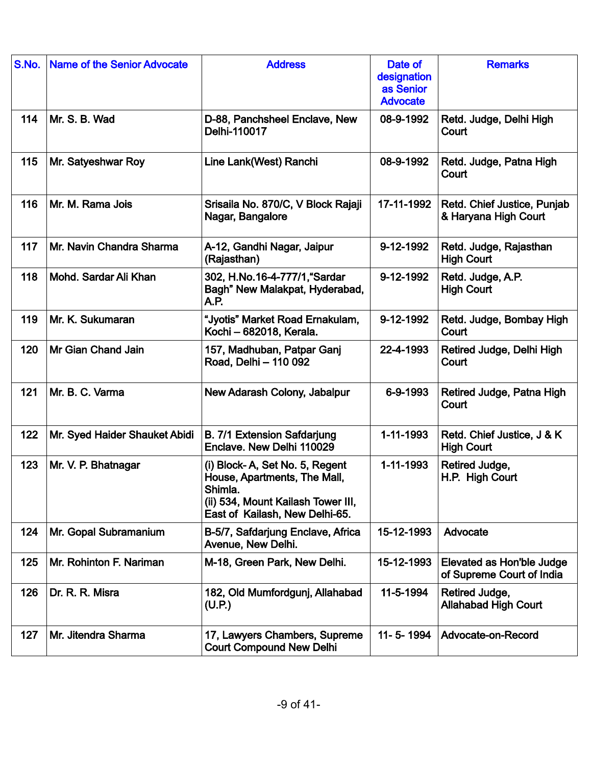| S.No. | <b>Name of the Senior Advocate</b> | <b>Address</b>                                                                                                                                    | Date of<br>designation<br>as Senior<br><b>Advocate</b> | <b>Remarks</b>                                         |
|-------|------------------------------------|---------------------------------------------------------------------------------------------------------------------------------------------------|--------------------------------------------------------|--------------------------------------------------------|
| 114   | Mr. S. B. Wad                      | D-88, Panchsheel Enclave, New<br>Delhi-110017                                                                                                     | 08-9-1992                                              | Retd. Judge, Delhi High<br>Court                       |
| 115   | Mr. Satyeshwar Roy                 | Line Lank(West) Ranchi                                                                                                                            | 08-9-1992                                              | Retd. Judge, Patna High<br>Court                       |
| 116   | Mr. M. Rama Jois                   | Srisaila No. 870/C, V Block Rajaji<br>Nagar, Bangalore                                                                                            | 17-11-1992                                             | Retd. Chief Justice, Punjab<br>& Haryana High Court    |
| 117   | Mr. Navin Chandra Sharma           | A-12, Gandhi Nagar, Jaipur<br>(Rajasthan)                                                                                                         | 9-12-1992                                              | Retd. Judge, Rajasthan<br><b>High Court</b>            |
| 118   | Mohd. Sardar Ali Khan              | 302, H.No.16-4-777/1, "Sardar<br>Bagh" New Malakpat, Hyderabad,<br>A.P.                                                                           | 9-12-1992                                              | Retd. Judge, A.P.<br><b>High Court</b>                 |
| 119   | Mr. K. Sukumaran                   | "Jyotis" Market Road Ernakulam,<br>Kochi - 682018, Kerala.                                                                                        | 9-12-1992                                              | Retd. Judge, Bombay High<br>Court                      |
| 120   | Mr Gian Chand Jain                 | 157, Madhuban, Patpar Ganj<br>Road, Delhi - 110 092                                                                                               | 22-4-1993                                              | Retired Judge, Delhi High<br>Court                     |
| 121   | Mr. B. C. Varma                    | New Adarash Colony, Jabalpur                                                                                                                      | 6-9-1993                                               | Retired Judge, Patna High<br>Court                     |
| 122   | Mr. Syed Haider Shauket Abidi      | <b>B. 7/1 Extension Safdarjung</b><br>Enclave. New Delhi 110029                                                                                   | 1-11-1993                                              | Retd. Chief Justice, J & K<br><b>High Court</b>        |
| 123   | Mr. V. P. Bhatnagar                | (i) Block-A, Set No. 5, Regent<br>House, Apartments, The Mall,<br>Shimla.<br>(ii) 534, Mount Kailash Tower III,<br>East of Kailash, New Delhi-65. | 1-11-1993                                              | Retired Judge,<br>H.P. High Court                      |
| 124   | Mr. Gopal Subramanium              | B-5/7, Safdarjung Enclave, Africa<br>Avenue, New Delhi.                                                                                           | 15-12-1993                                             | Advocate                                               |
| 125   | Mr. Rohinton F. Nariman            | M-18, Green Park, New Delhi.                                                                                                                      | 15-12-1993                                             | Elevated as Hon'ble Judge<br>of Supreme Court of India |
| 126   | Dr. R. R. Misra                    | 182, Old Mumfordgunj, Allahabad<br>(U.P.)                                                                                                         | 11-5-1994                                              | Retired Judge,<br><b>Allahabad High Court</b>          |
| 127   | Mr. Jitendra Sharma                | 17, Lawyers Chambers, Supreme<br><b>Court Compound New Delhi</b>                                                                                  | 11-5-1994                                              | Advocate-on-Record                                     |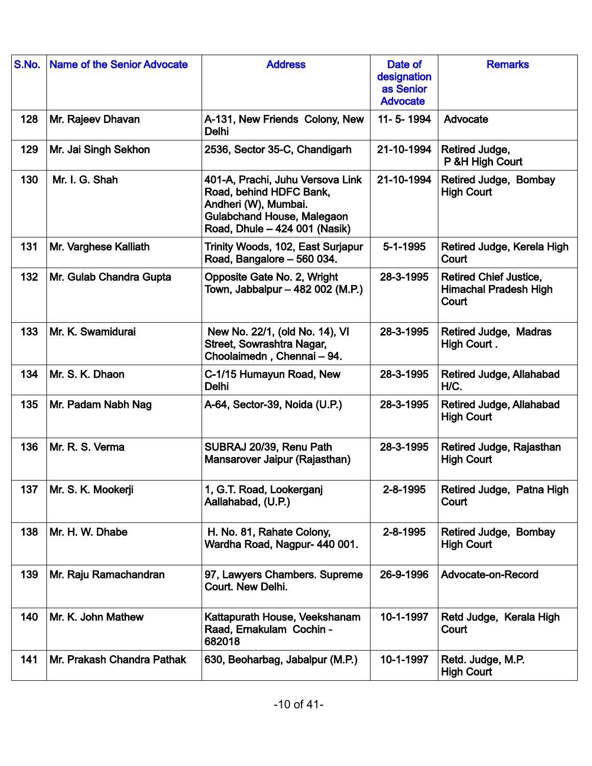| S.No. | <b>Name of the Senior Advocate</b> | <b>Address</b>                                                                                                                                     | Date of<br>designation<br>as Senior<br><b>Advocate</b> | <b>Remarks</b>                                                         |
|-------|------------------------------------|----------------------------------------------------------------------------------------------------------------------------------------------------|--------------------------------------------------------|------------------------------------------------------------------------|
| 128   | Mr. Rajeev Dhavan                  | A-131, New Friends Colony, New<br>Delhi                                                                                                            | 11-5-1994                                              | Advocate                                                               |
| 129   | Mr. Jai Singh Sekhon               | 2536, Sector 35-C, Chandigarh                                                                                                                      | 21-10-1994                                             | Retired Judge,<br>P &H High Court                                      |
| 130   | Mr. I. G. Shah                     | 401-A, Prachi, Juhu Versova Link<br>Road, behind HDFC Bank,<br>Andheri (W), Mumbai.<br>Gulabchand House, Malegaon<br>Road, Dhule - 424 001 (Nasik) | 21-10-1994                                             | Retired Judge, Bombay<br><b>High Court</b>                             |
| 131   | Mr. Varghese Kalliath              | Trinity Woods, 102, East Surjapur<br>Road, Bangalore - 560 034.                                                                                    | $5 - 1 - 1995$                                         | Retired Judge, Kerela High<br>Court                                    |
| 132   | Mr. Gulab Chandra Gupta            | Opposite Gate No. 2, Wright<br>Town, Jabbalpur - 482 002 (M.P.)                                                                                    | 28-3-1995                                              | <b>Retired Chief Justice,</b><br><b>Himachal Pradesh High</b><br>Court |
| 133   | Mr. K. Swamidurai                  | New No. 22/1, (old No. 14), VI<br>Street, Sowrashtra Nagar,<br>Choolaimedn, Chennai - 94.                                                          | 28-3-1995                                              | Retired Judge, Madras<br>High Court.                                   |
| 134   | Mr. S. K. Dhaon                    | C-1/15 Humayun Road, New<br>Delhi                                                                                                                  | 28-3-1995                                              | Retired Judge, Allahabad<br>H/C.                                       |
| 135   | Mr. Padam Nabh Nag                 | A-64, Sector-39, Noida (U.P.)                                                                                                                      | 28-3-1995                                              | Retired Judge, Allahabad<br><b>High Court</b>                          |
| 136   | Mr. R. S. Verma                    | SUBRAJ 20/39, Renu Path<br>Mansarover Jaipur (Rajasthan)                                                                                           | 28-3-1995                                              | Retired Judge, Rajasthan<br><b>High Court</b>                          |
| 137   | Mr. S. K. Mookerji                 | 1, G.T. Road, Lookerganj<br>Aallahabad, (U.P.)                                                                                                     | 2-8-1995                                               | Retired Judge, Patna High<br>Court                                     |
| 138   | Mr. H. W. Dhabe                    | H. No. 81, Rahate Colony,<br>Wardha Road, Nagpur- 440 001.                                                                                         | 2-8-1995                                               | Retired Judge, Bombay<br><b>High Court</b>                             |
| 139   | Mr. Raju Ramachandran              | 97, Lawyers Chambers. Supreme<br><b>Court. New Delhi.</b>                                                                                          | 26-9-1996                                              | Advocate-on-Record                                                     |
| 140   | Mr. K. John Mathew                 | Kattapurath House, Veekshanam<br>Raad, Ernakulam Cochin -<br>682018                                                                                | 10-1-1997                                              | Retd Judge, Kerala High<br>Court                                       |
| 141   | Mr. Prakash Chandra Pathak         | 630, Beoharbag, Jabalpur (M.P.)                                                                                                                    | 10-1-1997                                              | Retd. Judge, M.P.<br><b>High Court</b>                                 |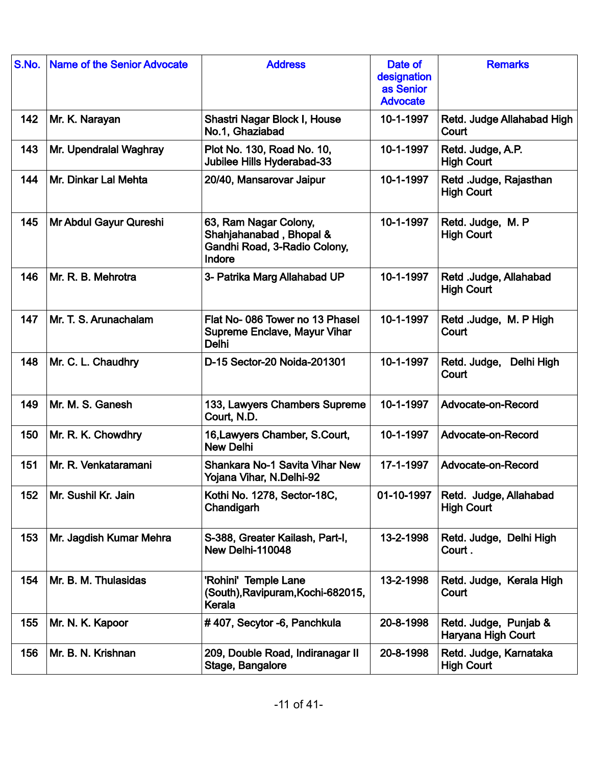| S.No. | <b>Name of the Senior Advocate</b> | <b>Address</b>                                                                             | Date of<br>designation<br>as Senior<br><b>Advocate</b> | <b>Remarks</b>                              |
|-------|------------------------------------|--------------------------------------------------------------------------------------------|--------------------------------------------------------|---------------------------------------------|
| 142   | Mr. K. Narayan                     | Shastri Nagar Block I, House<br>No.1, Ghaziabad                                            | 10-1-1997                                              | Retd. Judge Allahabad High<br>Court         |
| 143   | Mr. Upendralal Waghray             | Plot No. 130, Road No. 10,<br>Jubilee Hills Hyderabad-33                                   | 10-1-1997                                              | Retd. Judge, A.P.<br><b>High Court</b>      |
| 144   | Mr. Dinkar Lal Mehta               | 20/40, Mansarovar Jaipur                                                                   | 10-1-1997                                              | Retd .Judge, Rajasthan<br><b>High Court</b> |
| 145   | Mr Abdul Gayur Qureshi             | 63, Ram Nagar Colony,<br>Shahjahanabad, Bhopal &<br>Gandhi Road, 3-Radio Colony,<br>Indore | 10-1-1997                                              | Retd. Judge, M. P<br><b>High Court</b>      |
| 146   | Mr. R. B. Mehrotra                 | 3- Patrika Marg Allahabad UP                                                               | 10-1-1997                                              | Retd .Judge, Allahabad<br><b>High Court</b> |
| 147   | Mr. T. S. Arunachalam              | Flat No-086 Tower no 13 Phasel<br><b>Supreme Enclave, Mayur Vihar</b><br><b>Delhi</b>      | 10-1-1997                                              | Retd .Judge, M. P High<br>Court             |
| 148   | Mr. C. L. Chaudhry                 | D-15 Sector-20 Noida-201301                                                                | 10-1-1997                                              | Retd. Judge,<br>Delhi High<br>Court         |
| 149   | Mr. M. S. Ganesh                   | 133, Lawyers Chambers Supreme<br>Court, N.D.                                               | 10-1-1997                                              | Advocate-on-Record                          |
| 150   | Mr. R. K. Chowdhry                 | 16, Lawyers Chamber, S. Court,<br><b>New Delhi</b>                                         | 10-1-1997                                              | Advocate-on-Record                          |
| 151   | Mr. R. Venkataramani               | <b>Shankara No-1 Savita Vihar New</b><br>Yojana Vihar, N.Delhi-92                          | 17-1-1997                                              | Advocate-on-Record                          |
| 152   | Mr. Sushil Kr. Jain                | Kothi No. 1278, Sector-18C,<br>Chandigarh                                                  | 01-10-1997                                             | Retd. Judge, Allahabad<br><b>High Court</b> |
| 153   | Mr. Jagdish Kumar Mehra            | S-388, Greater Kailash, Part-I,<br>New Delhi-110048                                        | 13-2-1998                                              | Retd. Judge, Delhi High<br>Court.           |
| 154   | Mr. B. M. Thulasidas               | 'Rohini' Temple Lane<br>(South), Ravipuram, Kochi-682015,<br>Kerala                        | 13-2-1998                                              | Retd. Judge, Kerala High<br>Court           |
| 155   | Mr. N. K. Kapoor                   | #407, Secytor -6, Panchkula                                                                | 20-8-1998                                              | Retd. Judge, Punjab &<br>Haryana High Court |
| 156   | Mr. B. N. Krishnan                 | 209, Double Road, Indiranagar II<br>Stage, Bangalore                                       | 20-8-1998                                              | Retd. Judge, Karnataka<br><b>High Court</b> |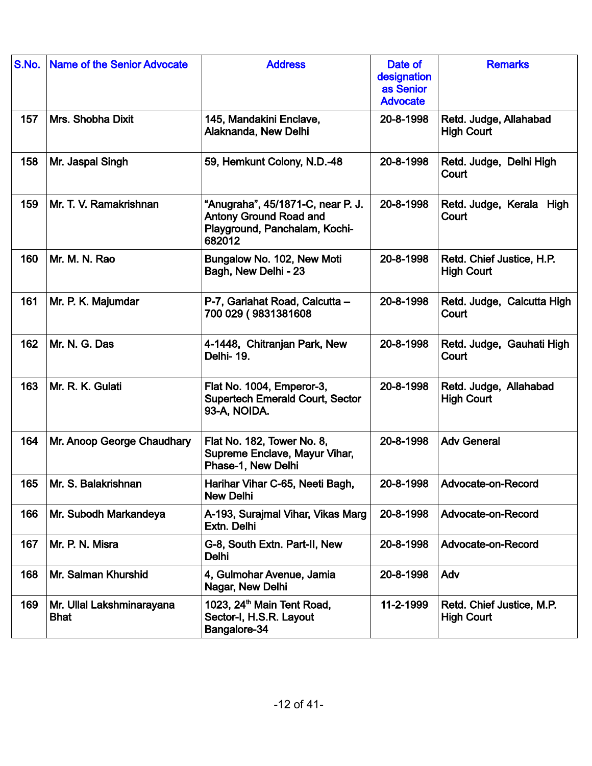| S.No. | <b>Name of the Senior Advocate</b>       | <b>Address</b>                                                                                                | Date of<br>designation<br>as Senior<br><b>Advocate</b> | <b>Remarks</b>                                 |
|-------|------------------------------------------|---------------------------------------------------------------------------------------------------------------|--------------------------------------------------------|------------------------------------------------|
| 157   | Mrs. Shobha Dixit                        | 145, Mandakini Enclave,<br>Alaknanda, New Delhi                                                               | 20-8-1998                                              | Retd. Judge, Allahabad<br><b>High Court</b>    |
| 158   | Mr. Jaspal Singh                         | 59, Hemkunt Colony, N.D.-48                                                                                   | 20-8-1998                                              | Retd. Judge, Delhi High<br>Court               |
| 159   | Mr. T. V. Ramakrishnan                   | "Anugraha", 45/1871-C, near P. J.<br><b>Antony Ground Road and</b><br>Playground, Panchalam, Kochi-<br>682012 | 20-8-1998                                              | Retd. Judge, Kerala High<br>Court              |
| 160   | Mr. M. N. Rao                            | Bungalow No. 102, New Moti<br>Bagh, New Delhi - 23                                                            | 20-8-1998                                              | Retd. Chief Justice, H.P.<br><b>High Court</b> |
| 161   | Mr. P. K. Majumdar                       | P-7, Gariahat Road, Calcutta -<br>700 029 (9831381608                                                         | 20-8-1998                                              | Retd. Judge, Calcutta High<br>Court            |
| 162   | Mr. N. G. Das                            | 4-1448, Chitranjan Park, New<br>Delhi-19.                                                                     | 20-8-1998                                              | Retd. Judge, Gauhati High<br>Court             |
| 163   | Mr. R. K. Gulati                         | Flat No. 1004, Emperor-3,<br><b>Supertech Emerald Court, Sector</b><br>93-A, NOIDA.                           | 20-8-1998                                              | Retd. Judge, Allahabad<br><b>High Court</b>    |
| 164   | Mr. Anoop George Chaudhary               | Flat No. 182, Tower No. 8,<br>Supreme Enclave, Mayur Vihar,<br>Phase-1, New Delhi                             | 20-8-1998                                              | <b>Adv General</b>                             |
| 165   | Mr. S. Balakrishnan                      | Harihar Vihar C-65, Neeti Bagh,<br><b>New Delhi</b>                                                           | 20-8-1998                                              | Advocate-on-Record                             |
| 166   | Mr. Subodh Markandeya                    | A-193, Surajmal Vihar, Vikas Marg<br>Extn. Delhi                                                              | 20-8-1998                                              | Advocate-on-Record                             |
| 167   | Mr. P. N. Misra                          | G-8, South Extn. Part-II, New<br>Delhi                                                                        | 20-8-1998                                              | Advocate-on-Record                             |
| 168   | Mr. Salman Khurshid                      | 4, Gulmohar Avenue, Jamia<br>Nagar, New Delhi                                                                 | 20-8-1998                                              | Adv                                            |
| 169   | Mr. Ullal Lakshminarayana<br><b>Bhat</b> | 1023, 24 <sup>th</sup> Main Tent Road,<br>Sector-I, H.S.R. Layout<br>Bangalore-34                             | 11-2-1999                                              | Retd. Chief Justice, M.P.<br><b>High Court</b> |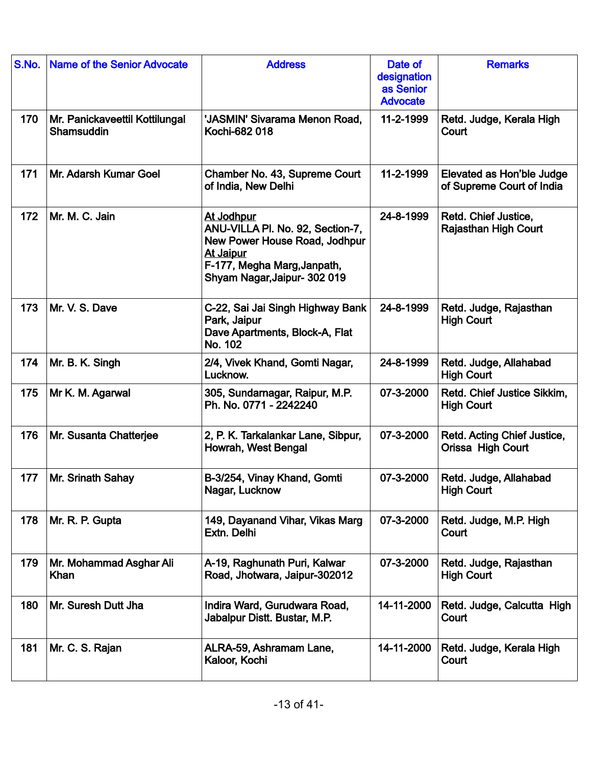| S.No. | <b>Name of the Senior Advocate</b>           | <b>Address</b>                                                                                                                                                     | Date of<br>designation<br>as Senior<br><b>Advocate</b> | <b>Remarks</b>                                         |
|-------|----------------------------------------------|--------------------------------------------------------------------------------------------------------------------------------------------------------------------|--------------------------------------------------------|--------------------------------------------------------|
| 170   | Mr. Panickaveettil Kottilungal<br>Shamsuddin | 'JASMIN' Sivarama Menon Road,<br>Kochi-682 018                                                                                                                     | 11-2-1999                                              | Retd. Judge, Kerala High<br>Court                      |
| 171   | Mr. Adarsh Kumar Goel                        | Chamber No. 43, Supreme Court<br>of India, New Delhi                                                                                                               | 11-2-1999                                              | Elevated as Hon'ble Judge<br>of Supreme Court of India |
| 172   | Mr. M. C. Jain                               | At Jodhpur<br>ANU-VILLA PI. No. 92, Section-7,<br>New Power House Road, Jodhpur<br><b>At Jaipur</b><br>F-177, Megha Marg, Janpath,<br>Shyam Nagar, Jaipur- 302 019 | 24-8-1999                                              | Retd. Chief Justice,<br><b>Rajasthan High Court</b>    |
| 173   | Mr. V. S. Dave                               | C-22, Sai Jai Singh Highway Bank<br>Park, Jaipur<br>Dave Apartments, Block-A, Flat<br>No. 102                                                                      | 24-8-1999                                              | Retd. Judge, Rajasthan<br><b>High Court</b>            |
| 174   | Mr. B. K. Singh                              | 2/4, Vivek Khand, Gomti Nagar,<br>Lucknow.                                                                                                                         | 24-8-1999                                              | Retd. Judge, Allahabad<br><b>High Court</b>            |
| 175   | Mr K. M. Agarwal                             | 305, Sundarnagar, Raipur, M.P.<br>Ph. No. 0771 - 2242240                                                                                                           | 07-3-2000                                              | Retd. Chief Justice Sikkim,<br><b>High Court</b>       |
| 176   | Mr. Susanta Chatterjee                       | 2, P. K. Tarkalankar Lane, Sibpur,<br>Howrah, West Bengal                                                                                                          | 07-3-2000                                              | Retd. Acting Chief Justice,<br>Orissa High Court       |
| 177   | Mr. Srinath Sahay                            | B-3/254, Vinay Khand, Gomti<br>Nagar, Lucknow                                                                                                                      | 07-3-2000                                              | Retd. Judge, Allahabad<br><b>High Court</b>            |
| 178   | Mr. R. P. Gupta                              | 149, Dayanand Vihar, Vikas Marg<br>Extn. Delhi                                                                                                                     | 07-3-2000                                              | Retd. Judge, M.P. High<br>Court                        |
| 179   | Mr. Mohammad Asghar Ali<br>Khan              | A-19, Raghunath Puri, Kalwar<br>Road, Jhotwara, Jaipur-302012                                                                                                      | 07-3-2000                                              | Retd. Judge, Rajasthan<br><b>High Court</b>            |
| 180   | Mr. Suresh Dutt Jha                          | Indira Ward, Gurudwara Road,<br>Jabalpur Distt. Bustar, M.P.                                                                                                       | 14-11-2000                                             | Retd. Judge, Calcutta High<br>Court                    |
| 181   | Mr. C. S. Rajan                              | ALRA-59, Ashramam Lane,<br>Kaloor, Kochi                                                                                                                           | 14-11-2000                                             | Retd. Judge, Kerala High<br>Court                      |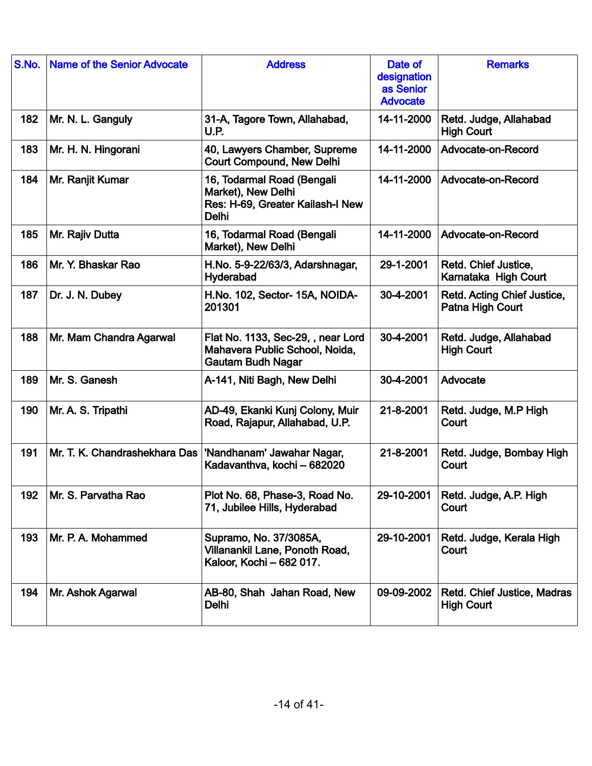| S.No. | <b>Name of the Senior Advocate</b> | <b>Address</b>                                                                                       | Date of<br>designation<br>as Senior<br><b>Advocate</b> | <b>Remarks</b>                                   |
|-------|------------------------------------|------------------------------------------------------------------------------------------------------|--------------------------------------------------------|--------------------------------------------------|
| 182   | Mr. N. L. Ganguly                  | 31-A, Tagore Town, Allahabad,<br><b>U.P.</b>                                                         | 14-11-2000                                             | Retd. Judge, Allahabad<br><b>High Court</b>      |
| 183   | Mr. H. N. Hingorani                | 40, Lawyers Chamber, Supreme<br><b>Court Compound, New Delhi</b>                                     | 14-11-2000                                             | Advocate-on-Record                               |
| 184   | Mr. Ranjit Kumar                   | 16, Todarmal Road (Bengali<br>Market), New Delhi<br>Res: H-69, Greater Kailash-I New<br><b>Delhi</b> | 14-11-2000                                             | Advocate-on-Record                               |
| 185   | Mr. Rajiv Dutta                    | 16, Todarmal Road (Bengali<br>Market), New Delhi                                                     | 14-11-2000                                             | Advocate-on-Record                               |
| 186   | Mr. Y. Bhaskar Rao                 | H.No. 5-9-22/63/3, Adarshnagar,<br>Hyderabad                                                         | 29-1-2001                                              | Retd. Chief Justice,<br>Karnataka High Court     |
| 187   | Dr. J. N. Dubey                    | H.No. 102, Sector- 15A, NOIDA-<br>201301                                                             | 30-4-2001                                              | Retd. Acting Chief Justice,<br>Patna High Court  |
| 188   | Mr. Mam Chandra Agarwal            | Flat No. 1133, Sec-29, , near Lord<br>Mahavera Public School, Noida,<br><b>Gautam Budh Nagar</b>     | 30-4-2001                                              | Retd. Judge, Allahabad<br><b>High Court</b>      |
| 189   | Mr. S. Ganesh                      | A-141, Niti Bagh, New Delhi                                                                          | 30-4-2001                                              | Advocate                                         |
| 190   | Mr. A. S. Tripathi                 | AD-49, Ekanki Kunj Colony, Muir<br>Road, Rajapur, Allahabad, U.P.                                    | 21-8-2001                                              | Retd. Judge, M.P High<br>Court                   |
| 191   | Mr. T. K. Chandrashekhara Das      | 'Nandhanam' Jawahar Nagar,<br>Kadavanthva, kochi - 682020                                            | 21-8-2001                                              | Retd. Judge, Bombay High<br>Court                |
| 192   | Mr. S. Parvatha Rao                | Plot No. 68, Phase-3, Road No.<br>71, Jubilee Hills, Hyderabad                                       | 29-10-2001                                             | Retd. Judge, A.P. High<br>Court                  |
| 193   | Mr. P. A. Mohammed                 | Supramo, No. 37/3085A,<br>Villanankil Lane, Ponoth Road,<br>Kaloor, Kochi - 682 017.                 | 29-10-2001                                             | Retd. Judge, Kerala High<br>Court                |
| 194   | Mr. Ashok Agarwal                  | AB-80, Shah Jahan Road, New<br>Delhi                                                                 | 09-09-2002                                             | Retd. Chief Justice, Madras<br><b>High Court</b> |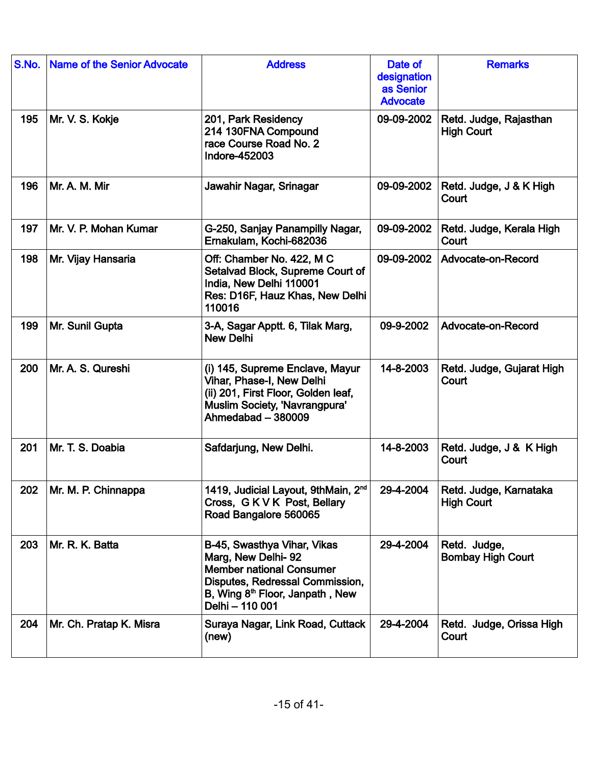| S.No. | <b>Name of the Senior Advocate</b> | <b>Address</b>                                                                                                                                                                            | Date of<br>designation<br>as Senior<br><b>Advocate</b> | <b>Remarks</b>                              |
|-------|------------------------------------|-------------------------------------------------------------------------------------------------------------------------------------------------------------------------------------------|--------------------------------------------------------|---------------------------------------------|
| 195   | Mr. V. S. Kokje                    | 201, Park Residency<br>214 130FNA Compound<br>race Course Road No. 2<br>Indore-452003                                                                                                     | 09-09-2002                                             | Retd. Judge, Rajasthan<br><b>High Court</b> |
| 196   | Mr. A. M. Mir                      | Jawahir Nagar, Srinagar                                                                                                                                                                   | 09-09-2002                                             | Retd. Judge, J & K High<br>Court            |
| 197   | Mr. V. P. Mohan Kumar              | G-250, Sanjay Panampilly Nagar,<br>Ernakulam, Kochi-682036                                                                                                                                | 09-09-2002                                             | Retd. Judge, Kerala High<br>Court           |
| 198   | Mr. Vijay Hansaria                 | Off: Chamber No. 422, M C<br>Setalvad Block, Supreme Court of<br>India, New Delhi 110001<br>Res: D16F, Hauz Khas, New Delhi<br>110016                                                     | 09-09-2002                                             | Advocate-on-Record                          |
| 199   | Mr. Sunil Gupta                    | 3-A, Sagar Apptt. 6, Tilak Marg,<br><b>New Delhi</b>                                                                                                                                      | 09-9-2002                                              | Advocate-on-Record                          |
| 200   | Mr. A. S. Qureshi                  | (i) 145, Supreme Enclave, Mayur<br>Vihar, Phase-I, New Delhi<br>(ii) 201, First Floor, Golden leaf,<br>Muslim Society, 'Navrangpura'<br>Ahmedabad - 380009                                | 14-8-2003                                              | Retd. Judge, Gujarat High<br>Court          |
| 201   | Mr. T. S. Doabia                   | Safdarjung, New Delhi.                                                                                                                                                                    | 14-8-2003                                              | Retd. Judge, J & K High<br>Court            |
| 202   | Mr. M. P. Chinnappa                | 1419, Judicial Layout, 9thMain, 2 <sup>nd</sup><br>Cross, GKVK Post, Bellary<br>Road Bangalore 560065                                                                                     | 29-4-2004                                              | Retd. Judge, Karnataka<br><b>High Court</b> |
| 203   | Mr. R. K. Batta                    | B-45, Swasthya Vihar, Vikas<br>Marg, New Delhi-92<br><b>Member national Consumer</b><br>Disputes, Redressal Commission,<br>B, Wing 8 <sup>th</sup> Floor, Janpath, New<br>Delhi - 110 001 | 29-4-2004                                              | Retd. Judge,<br><b>Bombay High Court</b>    |
| 204   | Mr. Ch. Pratap K. Misra            | Suraya Nagar, Link Road, Cuttack<br>(new)                                                                                                                                                 | 29-4-2004                                              | Retd. Judge, Orissa High<br>Court           |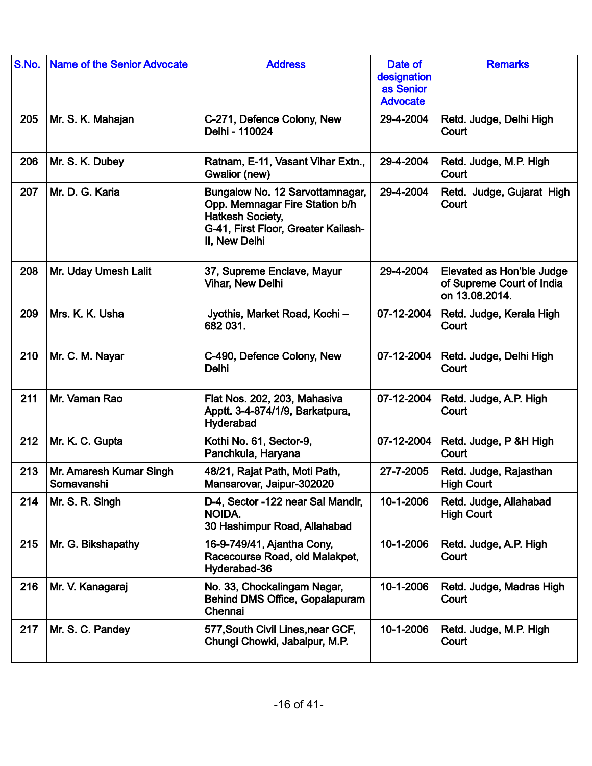| S.No. | <b>Name of the Senior Advocate</b>    | <b>Address</b>                                                                                                                                       | Date of<br>designation<br>as Senior<br><b>Advocate</b> | <b>Remarks</b>                                                           |
|-------|---------------------------------------|------------------------------------------------------------------------------------------------------------------------------------------------------|--------------------------------------------------------|--------------------------------------------------------------------------|
| 205   | Mr. S. K. Mahajan                     | C-271, Defence Colony, New<br>Delhi - 110024                                                                                                         | 29-4-2004                                              | Retd. Judge, Delhi High<br>Court                                         |
| 206   | Mr. S. K. Dubey                       | Ratnam, E-11, Vasant Vihar Extn.,<br>Gwalior (new)                                                                                                   | 29-4-2004                                              | Retd. Judge, M.P. High<br>Court                                          |
| 207   | Mr. D. G. Karia                       | Bungalow No. 12 Sarvottamnagar,<br>Opp. Memnagar Fire Station b/h<br><b>Hatkesh Society,</b><br>G-41, First Floor, Greater Kailash-<br>II, New Delhi | 29-4-2004                                              | Retd. Judge, Gujarat High<br>Court                                       |
| 208   | Mr. Uday Umesh Lalit                  | 37, Supreme Enclave, Mayur<br><b>Vihar, New Delhi</b>                                                                                                | 29-4-2004                                              | Elevated as Hon'ble Judge<br>of Supreme Court of India<br>on 13.08.2014. |
| 209   | Mrs. K. K. Usha                       | Jyothis, Market Road, Kochi-<br>682 031.                                                                                                             | 07-12-2004                                             | Retd. Judge, Kerala High<br>Court                                        |
| 210   | Mr. C. M. Nayar                       | C-490, Defence Colony, New<br><b>Delhi</b>                                                                                                           | 07-12-2004                                             | Retd. Judge, Delhi High<br>Court                                         |
| 211   | Mr. Vaman Rao                         | Flat Nos. 202, 203, Mahasiva<br>Apptt. 3-4-874/1/9, Barkatpura,<br>Hyderabad                                                                         | 07-12-2004                                             | Retd. Judge, A.P. High<br>Court                                          |
| 212   | Mr. K. C. Gupta                       | Kothi No. 61, Sector-9,<br>Panchkula, Haryana                                                                                                        | 07-12-2004                                             | Retd. Judge, P & H High<br>Court                                         |
| 213   | Mr. Amaresh Kumar Singh<br>Somavanshi | 48/21, Rajat Path, Moti Path,<br>Mansarovar, Jaipur-302020                                                                                           | 27-7-2005                                              | Retd. Judge, Rajasthan<br><b>High Court</b>                              |
| 214   | Mr. S. R. Singh                       | D-4, Sector -122 near Sai Mandir,<br>NOIDA.<br>30 Hashimpur Road, Allahabad                                                                          | 10-1-2006                                              | Retd. Judge, Allahabad<br><b>High Court</b>                              |
| 215   | Mr. G. Bikshapathy                    | 16-9-749/41, Ajantha Cony,<br>Racecourse Road, old Malakpet,<br>Hyderabad-36                                                                         | 10-1-2006                                              | Retd. Judge, A.P. High<br>Court                                          |
| 216   | Mr. V. Kanagaraj                      | No. 33, Chockalingam Nagar,<br><b>Behind DMS Office, Gopalapuram</b><br>Chennai                                                                      | 10-1-2006                                              | Retd. Judge, Madras High<br>Court                                        |
| 217   | Mr. S. C. Pandey                      | 577, South Civil Lines, near GCF,<br>Chungi Chowki, Jabalpur, M.P.                                                                                   | 10-1-2006                                              | Retd. Judge, M.P. High<br>Court                                          |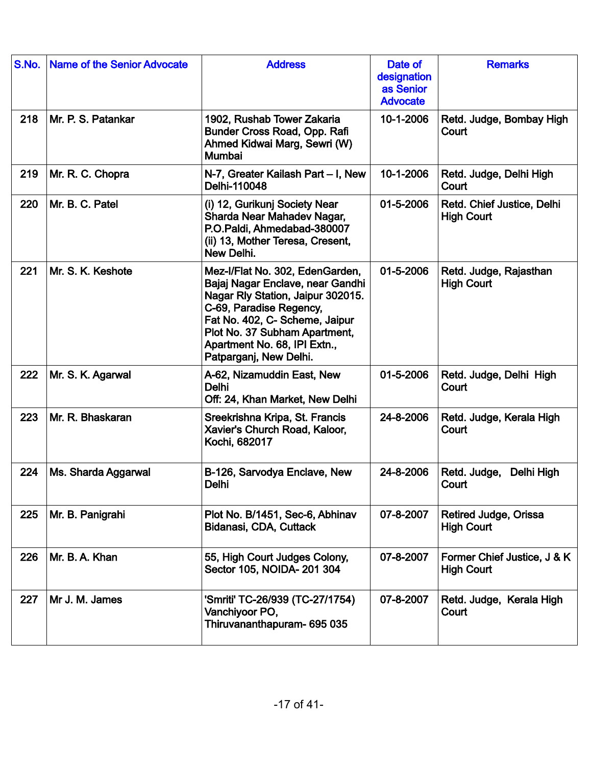| S.No. | <b>Name of the Senior Advocate</b> | <b>Address</b>                                                                                                                                                                                                                                                   | Date of<br>designation<br>as Senior<br><b>Advocate</b> | <b>Remarks</b>                                   |
|-------|------------------------------------|------------------------------------------------------------------------------------------------------------------------------------------------------------------------------------------------------------------------------------------------------------------|--------------------------------------------------------|--------------------------------------------------|
| 218   | Mr. P. S. Patankar                 | 1902, Rushab Tower Zakaria<br>Bunder Cross Road, Opp. Rafi<br>Ahmed Kidwai Marg, Sewri (W)<br>Mumbai                                                                                                                                                             | 10-1-2006                                              | Retd. Judge, Bombay High<br>Court                |
| 219   | Mr. R. C. Chopra                   | N-7, Greater Kailash Part - I, New<br>Delhi-110048                                                                                                                                                                                                               | 10-1-2006                                              | Retd. Judge, Delhi High<br>Court                 |
| 220   | Mr. B. C. Patel                    | (i) 12, Gurikunj Society Near<br>Sharda Near Mahadev Nagar,<br>P.O.Paldi, Ahmedabad-380007<br>(ii) 13, Mother Teresa, Cresent,<br>New Delhi.                                                                                                                     | 01-5-2006                                              | Retd. Chief Justice, Delhi<br><b>High Court</b>  |
| 221   | Mr. S. K. Keshote                  | Mez-I/Flat No. 302, EdenGarden,<br>Bajaj Nagar Enclave, near Gandhi<br>Nagar Rly Station, Jaipur 302015.<br>C-69, Paradise Regency,<br>Fat No. 402, C- Scheme, Jaipur<br>Plot No. 37 Subham Apartment,<br>Apartment No. 68, IPI Extn.,<br>Patparganj, New Delhi. | 01-5-2006                                              | Retd. Judge, Rajasthan<br><b>High Court</b>      |
| 222   | Mr. S. K. Agarwal                  | A-62, Nizamuddin East, New<br>Delhi<br>Off: 24, Khan Market, New Delhi                                                                                                                                                                                           | 01-5-2006                                              | Retd. Judge, Delhi High<br>Court                 |
| 223   | Mr. R. Bhaskaran                   | Sreekrishna Kripa, St. Francis<br>Xavier's Church Road, Kaloor,<br>Kochi, 682017                                                                                                                                                                                 | 24-8-2006                                              | Retd. Judge, Kerala High<br>Court                |
| 224   | Ms. Sharda Aggarwal                | B-126, Sarvodya Enclave, New<br>Delhi                                                                                                                                                                                                                            | 24-8-2006                                              | Retd. Judge,<br>Delhi High<br>Court              |
| 225   | Mr. B. Panigrahi                   | Plot No. B/1451, Sec-6, Abhinav<br>Bidanasi, CDA, Cuttack                                                                                                                                                                                                        | 07-8-2007                                              | Retired Judge, Orissa<br><b>High Court</b>       |
| 226   | Mr. B. A. Khan                     | 55, High Court Judges Colony,<br>Sector 105, NOIDA- 201 304                                                                                                                                                                                                      | 07-8-2007                                              | Former Chief Justice, J & K<br><b>High Court</b> |
| 227   | Mr J. M. James                     | 'Smriti' TC-26/939 (TC-27/1754)<br>Vanchiyoor PO,<br>Thiruvananthapuram- 695 035                                                                                                                                                                                 | 07-8-2007                                              | Retd. Judge, Kerala High<br>Court                |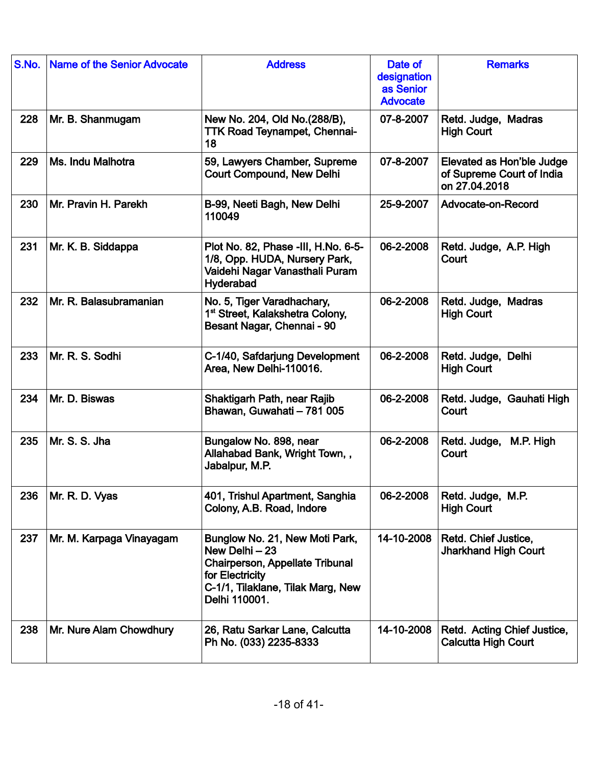| S.No. | <b>Name of the Senior Advocate</b> | <b>Address</b>                                                                                                                                               | Date of<br>designation<br>as Senior<br><b>Advocate</b> | <b>Remarks</b>                                                          |
|-------|------------------------------------|--------------------------------------------------------------------------------------------------------------------------------------------------------------|--------------------------------------------------------|-------------------------------------------------------------------------|
| 228   | Mr. B. Shanmugam                   | New No. 204, Old No. (288/B),<br><b>TTK Road Teynampet, Chennai-</b><br>18                                                                                   | 07-8-2007                                              | Retd. Judge, Madras<br><b>High Court</b>                                |
| 229   | Ms. Indu Malhotra                  | 59, Lawyers Chamber, Supreme<br><b>Court Compound, New Delhi</b>                                                                                             | 07-8-2007                                              | Elevated as Hon'ble Judge<br>of Supreme Court of India<br>on 27.04.2018 |
| 230   | Mr. Pravin H. Parekh               | B-99, Neeti Bagh, New Delhi<br>110049                                                                                                                        | 25-9-2007                                              | Advocate-on-Record                                                      |
| 231   | Mr. K. B. Siddappa                 | Plot No. 82, Phase -III, H.No. 6-5-<br>1/8, Opp. HUDA, Nursery Park,<br>Vaidehi Nagar Vanasthali Puram<br>Hyderabad                                          | 06-2-2008                                              | Retd. Judge, A.P. High<br>Court                                         |
| 232   | Mr. R. Balasubramanian             | No. 5, Tiger Varadhachary,<br>1 <sup>st</sup> Street, Kalakshetra Colony,<br>Besant Nagar, Chennai - 90                                                      | 06-2-2008                                              | Retd. Judge, Madras<br><b>High Court</b>                                |
| 233   | Mr. R. S. Sodhi                    | C-1/40, Safdarjung Development<br>Area, New Delhi-110016.                                                                                                    | 06-2-2008                                              | Retd. Judge, Delhi<br><b>High Court</b>                                 |
| 234   | Mr. D. Biswas                      | Shaktigarh Path, near Rajib<br>Bhawan, Guwahati - 781 005                                                                                                    | 06-2-2008                                              | Retd. Judge, Gauhati High<br>Court                                      |
| 235   | Mr. S. S. Jha                      | Bungalow No. 898, near<br>Allahabad Bank, Wright Town, ,<br>Jabalpur, M.P.                                                                                   | 06-2-2008                                              | M.P. High<br>Retd. Judge,<br>Court                                      |
| 236   | Mr. R. D. Vyas                     | 401, Trishul Apartment, Sanghia<br>Colony, A.B. Road, Indore                                                                                                 | 06-2-2008                                              | Retd. Judge, M.P.<br><b>High Court</b>                                  |
| 237   | Mr. M. Karpaga Vinayagam           | Bunglow No. 21, New Moti Park,<br>New Delhi - 23<br>Chairperson, Appellate Tribunal<br>for Electricity<br>C-1/1, Tilaklane, Tilak Marg, New<br>Delhi 110001. | 14-10-2008                                             | Retd. Chief Justice,<br><b>Jharkhand High Court</b>                     |
| 238   | Mr. Nure Alam Chowdhury            | 26, Ratu Sarkar Lane, Calcutta<br>Ph No. (033) 2235-8333                                                                                                     | 14-10-2008                                             | Retd. Acting Chief Justice,<br><b>Calcutta High Court</b>               |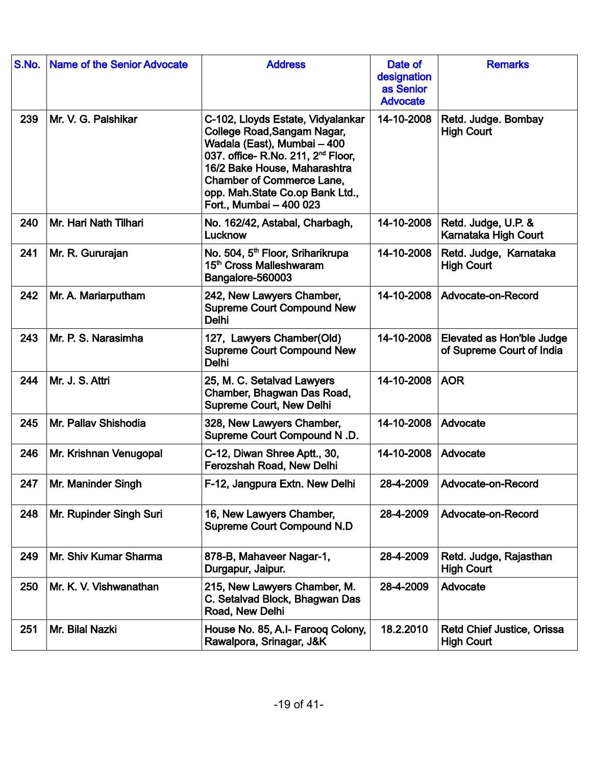| S.No. | <b>Name of the Senior Advocate</b> | <b>Address</b>                                                                                                                                                                                                                                                                      | Date of<br>designation<br>as Senior<br><b>Advocate</b> | <b>Remarks</b>                                         |
|-------|------------------------------------|-------------------------------------------------------------------------------------------------------------------------------------------------------------------------------------------------------------------------------------------------------------------------------------|--------------------------------------------------------|--------------------------------------------------------|
| 239   | Mr. V. G. Palshikar                | C-102, Lloyds Estate, Vidyalankar<br>College Road, Sangam Nagar,<br>Wadala (East), Mumbai - 400<br>037. office- R.No. 211, 2 <sup>nd</sup> Floor,<br>16/2 Bake House, Maharashtra<br><b>Chamber of Commerce Lane,</b><br>opp. Mah.State Co.op Bank Ltd.,<br>Fort., Mumbai - 400 023 | 14-10-2008                                             | Retd. Judge. Bombay<br><b>High Court</b>               |
| 240   | Mr. Hari Nath Tilhari              | No. 162/42, Astabal, Charbagh,<br>Lucknow                                                                                                                                                                                                                                           | 14-10-2008                                             | Retd. Judge, U.P. &<br>Karnataka High Court            |
| 241   | Mr. R. Gururajan                   | No. 504, 5 <sup>th</sup> Floor, Sriharikrupa<br>15 <sup>th</sup> Cross Malleshwaram<br>Bangalore-560003                                                                                                                                                                             | 14-10-2008                                             | Retd. Judge, Karnataka<br><b>High Court</b>            |
| 242   | Mr. A. Mariarputham                | 242, New Lawyers Chamber,<br><b>Supreme Court Compound New</b><br><b>Delhi</b>                                                                                                                                                                                                      | 14-10-2008                                             | Advocate-on-Record                                     |
| 243   | Mr. P. S. Narasimha                | 127, Lawyers Chamber(Old)<br><b>Supreme Court Compound New</b><br><b>Delhi</b>                                                                                                                                                                                                      | 14-10-2008                                             | Elevated as Hon'ble Judge<br>of Supreme Court of India |
| 244   | Mr. J. S. Attri                    | 25, M. C. Setalvad Lawyers<br>Chamber, Bhagwan Das Road,<br><b>Supreme Court, New Delhi</b>                                                                                                                                                                                         | 14-10-2008                                             | <b>AOR</b>                                             |
| 245   | Mr. Pallav Shishodia               | 328, New Lawyers Chamber,<br>Supreme Court Compound N.D.                                                                                                                                                                                                                            | 14-10-2008                                             | Advocate                                               |
| 246   | Mr. Krishnan Venugopal             | C-12, Diwan Shree Aptt., 30,<br>Ferozshah Road, New Delhi                                                                                                                                                                                                                           | 14-10-2008                                             | Advocate                                               |
| 247   | Mr. Maninder Singh                 | F-12. Jangpura Extn. New Delhi                                                                                                                                                                                                                                                      | 28-4-2009                                              | Advocate-on-Record                                     |
| 248   | Mr. Rupinder Singh Suri            | 16, New Lawyers Chamber,<br><b>Supreme Court Compound N.D</b>                                                                                                                                                                                                                       | 28-4-2009                                              | Advocate-on-Record                                     |
| 249   | Mr. Shiv Kumar Sharma              | 878-B, Mahaveer Nagar-1,<br>Durgapur, Jaipur.                                                                                                                                                                                                                                       | 28-4-2009                                              | Retd. Judge, Rajasthan<br><b>High Court</b>            |
| 250   | Mr. K. V. Vishwanathan             | 215, New Lawyers Chamber, M.<br>C. Setalvad Block, Bhagwan Das<br>Road, New Delhi                                                                                                                                                                                                   | 28-4-2009                                              | Advocate                                               |
| 251   | Mr. Bilal Nazki                    | House No. 85, A.I- Farooq Colony,<br>Rawalpora, Srinagar, J&K                                                                                                                                                                                                                       | 18.2.2010                                              | <b>Retd Chief Justice, Orissa</b><br><b>High Court</b> |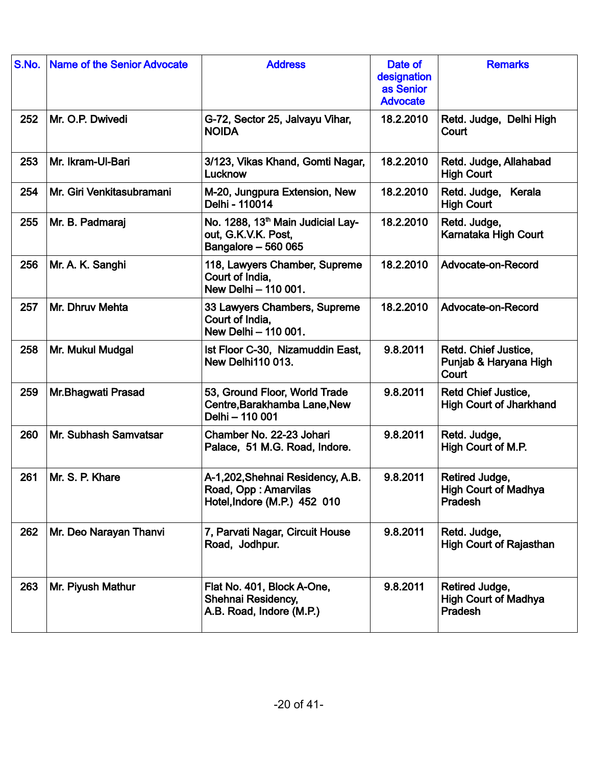| S.No. | <b>Name of the Senior Advocate</b> | <b>Address</b>                                                                              | Date of<br>designation<br>as Senior<br><b>Advocate</b> | <b>Remarks</b>                                               |
|-------|------------------------------------|---------------------------------------------------------------------------------------------|--------------------------------------------------------|--------------------------------------------------------------|
| 252   | Mr. O.P. Dwivedi                   | G-72, Sector 25, Jalvayu Vihar,<br><b>NOIDA</b>                                             | 18.2.2010                                              | Retd. Judge, Delhi High<br>Court                             |
| 253   | Mr. Ikram-Ul-Bari                  | 3/123, Vikas Khand, Gomti Nagar,<br>Lucknow                                                 | 18.2.2010                                              | Retd. Judge, Allahabad<br><b>High Court</b>                  |
| 254   | Mr. Giri Venkitasubramani          | M-20, Jungpura Extension, New<br>Delhi - 110014                                             | 18.2.2010                                              | Retd. Judge, Kerala<br><b>High Court</b>                     |
| 255   | Mr. B. Padmaraj                    | No. 1288, 13 <sup>th</sup> Main Judicial Lay-<br>out, G.K.V.K. Post,<br>Bangalore - 560 065 | 18.2.2010                                              | Retd. Judge,<br>Karnataka High Court                         |
| 256   | Mr. A. K. Sanghi                   | 118, Lawyers Chamber, Supreme<br>Court of India,<br>New Delhi - 110 001.                    | 18.2.2010                                              | Advocate-on-Record                                           |
| 257   | Mr. Dhruv Mehta                    | 33 Lawyers Chambers, Supreme<br>Court of India,<br>New Delhi - 110 001.                     | 18.2.2010                                              | Advocate-on-Record                                           |
| 258   | Mr. Mukul Mudgal                   | Ist Floor C-30, Nizamuddin East,<br><b>New Delhi110 013.</b>                                | 9.8.2011                                               | Retd. Chief Justice,<br>Punjab & Haryana High<br>Court       |
| 259   | Mr.Bhagwati Prasad                 | 53, Ground Floor, World Trade<br>Centre, Barakhamba Lane, New<br>Delhi - 110 001            | 9.8.2011                                               | <b>Retd Chief Justice,</b><br><b>High Court of Jharkhand</b> |
| 260   | Mr. Subhash Samvatsar              | Chamber No. 22-23 Johari<br>Palace, 51 M.G. Road, Indore.                                   | 9.8.2011                                               | Retd. Judge,<br>High Court of M.P.                           |
| 261   | Mr. S. P. Khare                    | A-1,202, Shehnai Residency, A.B.<br>Road, Opp: Amarvilas<br>Hotel, Indore (M.P.) 452 010    | 9.8.2011                                               | Retired Judge,<br><b>High Court of Madhya</b><br>Pradesh     |
| 262   | Mr. Deo Narayan Thanvi             | 7, Parvati Nagar, Circuit House<br>Road, Jodhpur.                                           | 9.8.2011                                               | Retd. Judge,<br><b>High Court of Rajasthan</b>               |
| 263   | Mr. Piyush Mathur                  | Flat No. 401, Block A-One,<br>Shehnai Residency,<br>A.B. Road, Indore (M.P.)                | 9.8.2011                                               | Retired Judge,<br><b>High Court of Madhya</b><br>Pradesh     |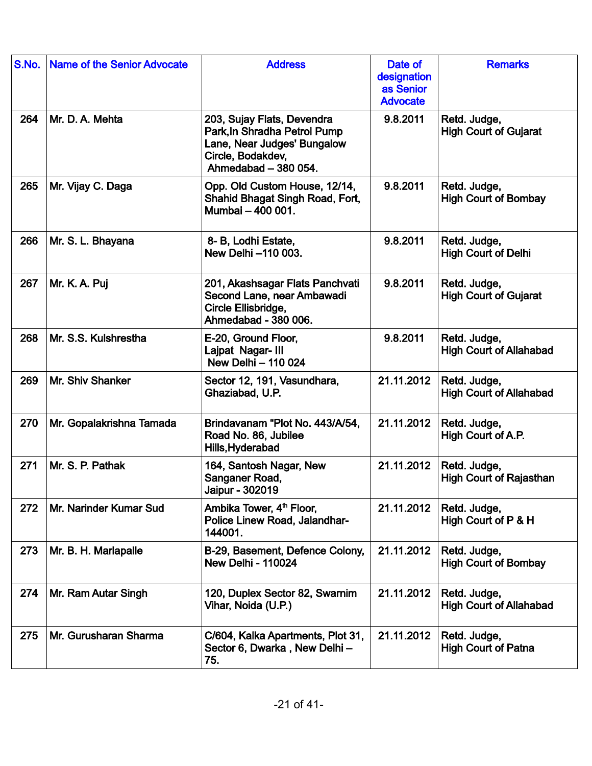| S.No. | Name of the Senior Advocate | <b>Address</b>                                                                                                                         | Date of<br>designation<br>as Senior<br><b>Advocate</b> | <b>Remarks</b>                                 |
|-------|-----------------------------|----------------------------------------------------------------------------------------------------------------------------------------|--------------------------------------------------------|------------------------------------------------|
| 264   | Mr. D. A. Mehta             | 203, Sujay Flats, Devendra<br>Park, In Shradha Petrol Pump<br>Lane, Near Judges' Bungalow<br>Circle, Bodakdev,<br>Ahmedabad - 380 054. | 9.8.2011                                               | Retd. Judge,<br><b>High Court of Gujarat</b>   |
| 265   | Mr. Vijay C. Daga           | Opp. Old Custom House, 12/14,<br>Shahid Bhagat Singh Road, Fort,<br>Mumbai - 400 001.                                                  | 9.8.2011                                               | Retd. Judge,<br><b>High Court of Bombay</b>    |
| 266   | Mr. S. L. Bhayana           | 8- B, Lodhi Estate,<br>New Delhi -110 003.                                                                                             | 9.8.2011                                               | Retd. Judge,<br><b>High Court of Delhi</b>     |
| 267   | Mr. K. A. Puj               | 201, Akashsagar Flats Panchvati<br>Second Lane, near Ambawadi<br>Circle Ellisbridge,<br>Ahmedabad - 380 006.                           | 9.8.2011                                               | Retd. Judge,<br><b>High Court of Gujarat</b>   |
| 268   | Mr. S.S. Kulshrestha        | E-20, Ground Floor,<br>Lajpat Nagar- III<br>New Delhi - 110 024                                                                        | 9.8.2011                                               | Retd. Judge,<br><b>High Court of Allahabad</b> |
| 269   | Mr. Shiv Shanker            | Sector 12, 191, Vasundhara,<br>Ghaziabad, U.P.                                                                                         | 21.11.2012                                             | Retd. Judge,<br><b>High Court of Allahabad</b> |
| 270   | Mr. Gopalakrishna Tamada    | Brindavanam "Plot No. 443/A/54,<br>Road No. 86, Jubilee<br>Hills, Hyderabad                                                            | 21.11.2012                                             | Retd. Judge,<br>High Court of A.P.             |
| 271   | Mr. S. P. Pathak            | 164, Santosh Nagar, New<br>Sanganer Road,<br>Jaipur - 302019                                                                           | 21.11.2012                                             | Retd. Judge,<br><b>High Court of Rajasthan</b> |
| 272   | Mr. Narinder Kumar Sud      | Ambika Tower, 4 <sup>th</sup> Floor,<br>Police Linew Road, Jalandhar-<br>144001.                                                       | 21.11.2012                                             | Retd. Judge,<br>High Court of P & H            |
| 273   | Mr. B. H. Marlapalle        | B-29, Basement, Defence Colony,<br><b>New Delhi - 110024</b>                                                                           | 21.11.2012                                             | Retd. Judge,<br><b>High Court of Bombay</b>    |
| 274   | Mr. Ram Autar Singh         | 120, Duplex Sector 82, Swarnim<br>Vihar, Noida (U.P.)                                                                                  | 21.11.2012                                             | Retd. Judge,<br><b>High Court of Allahabad</b> |
| 275   | Mr. Gurusharan Sharma       | C/604, Kalka Apartments, Plot 31,<br>Sector 6, Dwarka, New Delhi-<br>75.                                                               | 21.11.2012                                             | Retd. Judge,<br><b>High Court of Patna</b>     |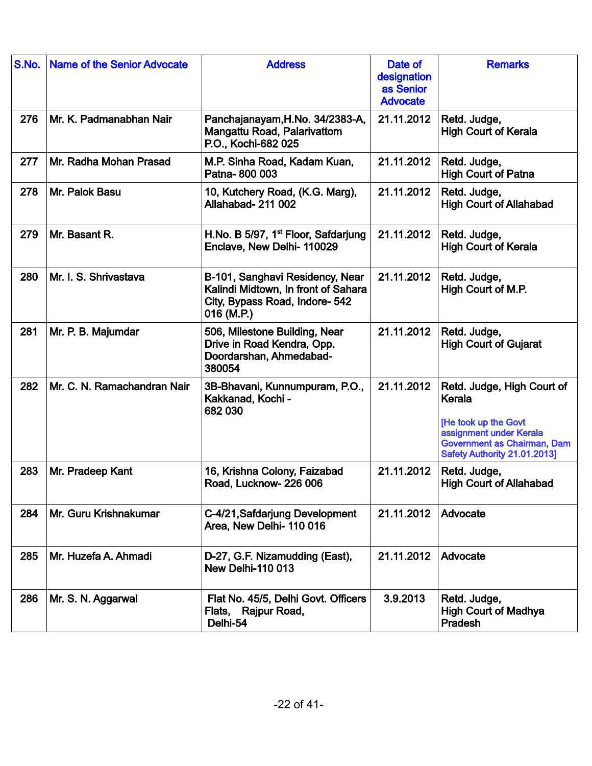| S.No. | <b>Name of the Senior Advocate</b> | <b>Address</b>                                                                                                         | Date of<br>designation<br>as Senior<br><b>Advocate</b> | <b>Remarks</b>                                                                                                                                         |
|-------|------------------------------------|------------------------------------------------------------------------------------------------------------------------|--------------------------------------------------------|--------------------------------------------------------------------------------------------------------------------------------------------------------|
| 276   | Mr. K. Padmanabhan Nair            | Panchajanayam, H.No. 34/2383-A,<br>Mangattu Road, Palarivattom<br>P.O., Kochi-682 025                                  | 21.11.2012                                             | Retd. Judge,<br><b>High Court of Kerala</b>                                                                                                            |
| 277   | Mr. Radha Mohan Prasad             | M.P. Sinha Road, Kadam Kuan,<br>Patna-800 003                                                                          | 21.11.2012                                             | Retd. Judge,<br><b>High Court of Patna</b>                                                                                                             |
| 278   | Mr. Palok Basu                     | 10, Kutchery Road, (K.G. Marg),<br><b>Allahabad- 211 002</b>                                                           | 21.11.2012                                             | Retd. Judge,<br><b>High Court of Allahabad</b>                                                                                                         |
| 279   | Mr. Basant R.                      | H.No. B 5/97, 1 <sup>st</sup> Floor, Safdarjung<br>Enclave, New Delhi- 110029                                          | 21.11.2012                                             | Retd. Judge,<br><b>High Court of Kerala</b>                                                                                                            |
| 280   | Mr. I. S. Shrivastava              | B-101, Sanghavi Residency, Near<br>Kalindi Midtown, In front of Sahara<br>City, Bypass Road, Indore- 542<br>016 (M.P.) | 21.11.2012                                             | Retd. Judge,<br>High Court of M.P.                                                                                                                     |
| 281   | Mr. P. B. Majumdar                 | 506, Milestone Building, Near<br>Drive in Road Kendra, Opp.<br>Doordarshan, Ahmedabad-<br>380054                       | 21.11.2012                                             | Retd. Judge,<br><b>High Court of Gujarat</b>                                                                                                           |
| 282   | Mr. C. N. Ramachandran Nair        | 3B-Bhavani, Kunnumpuram, P.O.,<br>Kakkanad, Kochi -<br>682 030                                                         | 21.11.2012                                             | Retd. Judge, High Court of<br>Kerala<br>[He took up the Govt<br>assignment under Kerala<br>Government as Chairman, Dam<br>Safety Authority 21.01.2013] |
| 283   | Mr. Pradeep Kant                   | 16, Krishna Colony, Faizabad<br>Road, Lucknow-226 006                                                                  | 21.11.2012                                             | Retd. Judge,<br><b>High Court of Allahabad</b>                                                                                                         |
| 284   | Mr. Guru Krishnakumar              | C-4/21, Safdarjung Development<br>Area, New Delhi-110016                                                               | 21.11.2012                                             | Advocate                                                                                                                                               |
| 285   | Mr. Huzefa A. Ahmadi               | D-27, G.F. Nizamudding (East),<br><b>New Delhi-110 013</b>                                                             | 21.11.2012                                             | Advocate                                                                                                                                               |
| 286   | Mr. S. N. Aggarwal                 | Flat No. 45/5, Delhi Govt. Officers<br>Flats, Rajpur Road,<br>Delhi-54                                                 | 3.9.2013                                               | Retd. Judge,<br><b>High Court of Madhya</b><br>Pradesh                                                                                                 |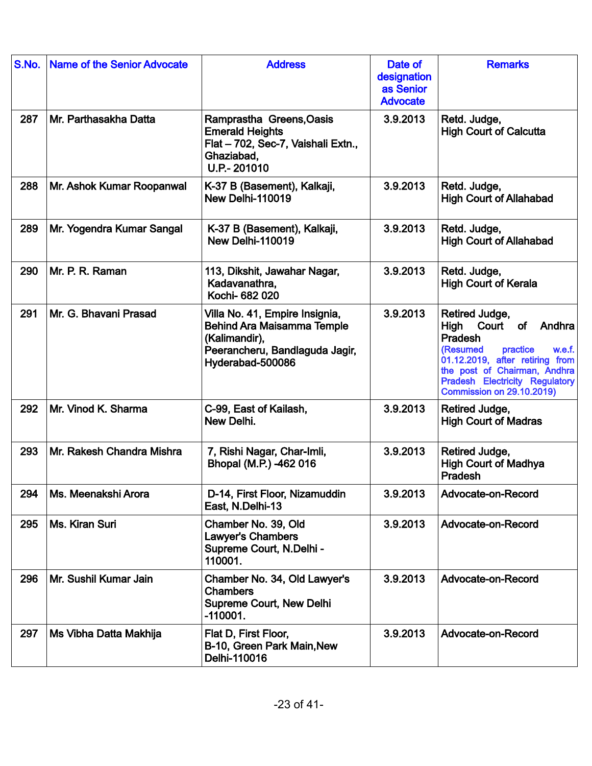| S.No. | <b>Name of the Senior Advocate</b> | <b>Address</b>                                                                                                                             | Date of<br>designation<br>as Senior<br><b>Advocate</b> | <b>Remarks</b>                                                                                                                                                                                                                            |
|-------|------------------------------------|--------------------------------------------------------------------------------------------------------------------------------------------|--------------------------------------------------------|-------------------------------------------------------------------------------------------------------------------------------------------------------------------------------------------------------------------------------------------|
| 287   | Mr. Parthasakha Datta              | Ramprastha Greens, Oasis<br><b>Emerald Heights</b><br>Flat - 702, Sec-7, Vaishali Extn.,<br>Ghaziabad,<br>U.P-201010                       | 3.9.2013                                               | Retd. Judge,<br><b>High Court of Calcutta</b>                                                                                                                                                                                             |
| 288   | Mr. Ashok Kumar Roopanwal          | K-37 B (Basement), Kalkaji,<br>New Delhi-110019                                                                                            | 3.9.2013                                               | Retd. Judge,<br><b>High Court of Allahabad</b>                                                                                                                                                                                            |
| 289   | Mr. Yogendra Kumar Sangal          | K-37 B (Basement), Kalkaji,<br>New Delhi-110019                                                                                            | 3.9.2013                                               | Retd. Judge,<br><b>High Court of Allahabad</b>                                                                                                                                                                                            |
| 290   | Mr. P. R. Raman                    | 113, Dikshit, Jawahar Nagar,<br>Kadavanathra,<br>Kochi- 682 020                                                                            | 3.9.2013                                               | Retd. Judge,<br><b>High Court of Kerala</b>                                                                                                                                                                                               |
| 291   | Mr. G. Bhavani Prasad              | Villa No. 41, Empire Insignia,<br><b>Behind Ara Maisamma Temple</b><br>(Kalimandir),<br>Peerancheru, Bandlaguda Jagir,<br>Hyderabad-500086 | 3.9.2013                                               | Retired Judge,<br>High Court<br>of<br>Andhra<br>Pradesh<br>practice<br>(Resumed<br>w.e.f.<br>01.12.2019, after retiring from<br>the post of Chairman, Andhra<br><b>Pradesh Electricity Regulatory</b><br><b>Commission on 29.10.2019)</b> |
| 292   | Mr. Vinod K. Sharma                | C-99, East of Kailash,<br>New Delhi.                                                                                                       | 3.9.2013                                               | Retired Judge,<br><b>High Court of Madras</b>                                                                                                                                                                                             |
| 293   | Mr. Rakesh Chandra Mishra          | 7, Rishi Nagar, Char-Imli,<br>Bhopal (M.P.) -462 016                                                                                       | 3.9.2013                                               | Retired Judge,<br><b>High Court of Madhya</b><br>Pradesh                                                                                                                                                                                  |
| 294   | Ms. Meenakshi Arora                | D-14, First Floor, Nizamuddin<br>East, N.Delhi-13                                                                                          | 3.9.2013                                               | Advocate-on-Record                                                                                                                                                                                                                        |
| 295   | Ms. Kiran Suri                     | Chamber No. 39, Old<br><b>Lawyer's Chambers</b><br>Supreme Court, N.Delhi -<br>110001.                                                     | 3.9.2013                                               | Advocate-on-Record                                                                                                                                                                                                                        |
| 296   | Mr. Sushil Kumar Jain              | Chamber No. 34, Old Lawyer's<br><b>Chambers</b><br><b>Supreme Court, New Delhi</b><br>$-110001.$                                           | 3.9.2013                                               | Advocate-on-Record                                                                                                                                                                                                                        |
| 297   | Ms Vibha Datta Makhija             | Flat D, First Floor,<br>B-10, Green Park Main, New<br>Delhi-110016                                                                         | 3.9.2013                                               | Advocate-on-Record                                                                                                                                                                                                                        |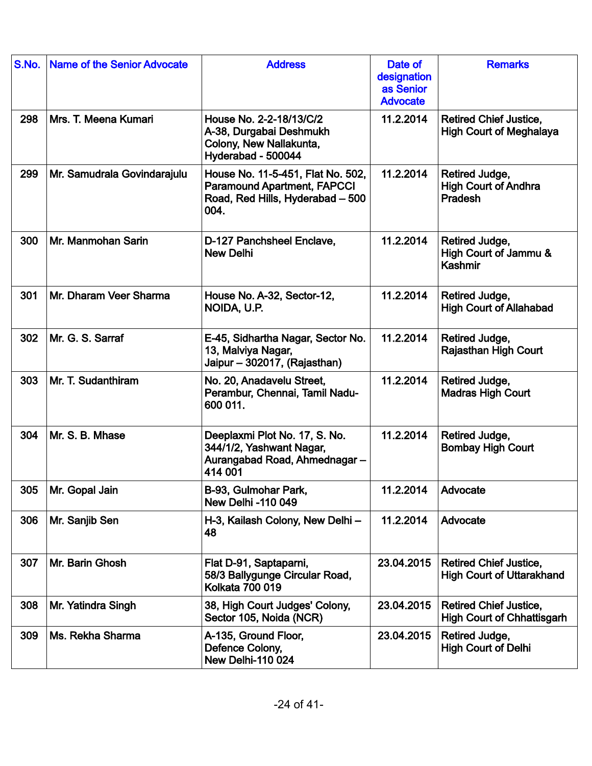| S.No. | <b>Name of the Senior Advocate</b> | <b>Address</b>                                                                                                      | Date of<br>designation<br>as Senior<br><b>Advocate</b> | <b>Remarks</b>                                                     |
|-------|------------------------------------|---------------------------------------------------------------------------------------------------------------------|--------------------------------------------------------|--------------------------------------------------------------------|
| 298   | Mrs. T. Meena Kumari               | House No. 2-2-18/13/C/2<br>A-38, Durgabai Deshmukh<br>Colony, New Nallakunta,<br>Hyderabad - 500044                 | 11.2.2014                                              | <b>Retired Chief Justice,</b><br><b>High Court of Meghalaya</b>    |
| 299   | Mr. Samudrala Govindarajulu        | House No. 11-5-451, Flat No. 502,<br><b>Paramound Apartment, FAPCCI</b><br>Road, Red Hills, Hyderabad - 500<br>004. | 11.2.2014                                              | Retired Judge,<br><b>High Court of Andhra</b><br>Pradesh           |
| 300   | Mr. Manmohan Sarin                 | D-127 Panchsheel Enclave,<br><b>New Delhi</b>                                                                       | 11.2.2014                                              | Retired Judge,<br>High Court of Jammu &<br>Kashmir                 |
| 301   | Mr. Dharam Veer Sharma             | House No. A-32, Sector-12,<br>NOIDA, U.P.                                                                           | 11.2.2014                                              | Retired Judge,<br><b>High Court of Allahabad</b>                   |
| 302   | Mr. G. S. Sarraf                   | E-45, Sidhartha Nagar, Sector No.<br>13, Malviya Nagar,<br>Jaipur - 302017, (Rajasthan)                             | 11.2.2014                                              | Retired Judge,<br><b>Rajasthan High Court</b>                      |
| 303   | Mr. T. Sudanthiram                 | No. 20, Anadavelu Street,<br>Perambur, Chennai, Tamil Nadu-<br>600 011.                                             | 11.2.2014                                              | Retired Judge,<br><b>Madras High Court</b>                         |
| 304   | Mr. S. B. Mhase                    | Deeplaxmi Plot No. 17, S. No.<br>344/1/2, Yashwant Nagar,<br>Aurangabad Road, Ahmednagar-<br>414 001                | 11.2.2014                                              | Retired Judge,<br><b>Bombay High Court</b>                         |
| 305   | Mr. Gopal Jain                     | B-93, Gulmohar Park,<br><b>New Delhi -110 049</b>                                                                   | 11.2.2014                                              | Advocate                                                           |
| 306   | Mr. Sanjib Sen                     | H-3, Kailash Colony, New Delhi -<br>48                                                                              | 11.2.2014                                              | Advocate                                                           |
| 307   | Mr. Barin Ghosh                    | Flat D-91, Saptaparni,<br>58/3 Ballygunge Circular Road,<br><b>Kolkata 700 019</b>                                  | 23.04.2015                                             | <b>Retired Chief Justice,</b><br><b>High Court of Uttarakhand</b>  |
| 308   | Mr. Yatindra Singh                 | 38, High Court Judges' Colony,<br>Sector 105, Noida (NCR)                                                           | 23.04.2015                                             | <b>Retired Chief Justice,</b><br><b>High Court of Chhattisgarh</b> |
| 309   | Ms. Rekha Sharma                   | A-135, Ground Floor,<br>Defence Colony,<br><b>New Delhi-110 024</b>                                                 | 23.04.2015                                             | Retired Judge,<br><b>High Court of Delhi</b>                       |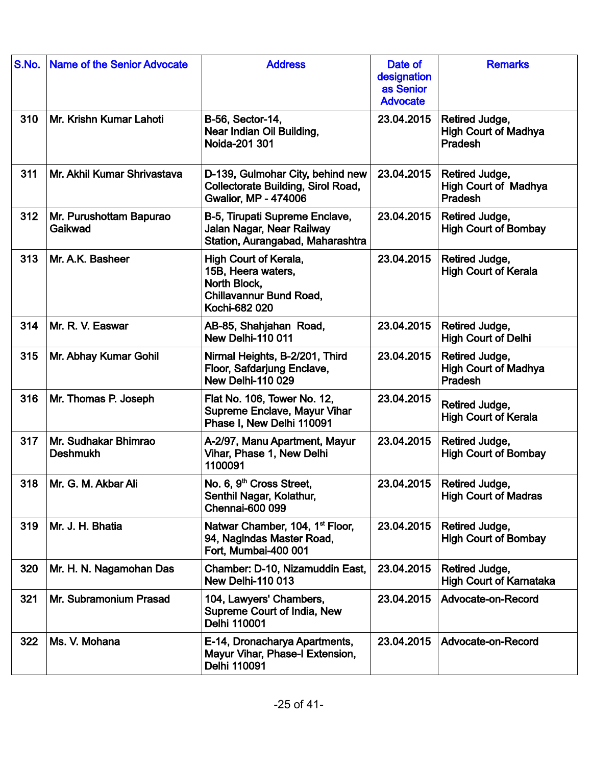| S.No. | <b>Name of the Senior Advocate</b>      | <b>Address</b>                                                                                                 | Date of<br>designation<br>as Senior<br><b>Advocate</b> | <b>Remarks</b>                                           |
|-------|-----------------------------------------|----------------------------------------------------------------------------------------------------------------|--------------------------------------------------------|----------------------------------------------------------|
| 310   | Mr. Krishn Kumar Lahoti                 | B-56, Sector-14,<br>Near Indian Oil Building,<br>Noida-201 301                                                 | 23.04.2015                                             | Retired Judge,<br><b>High Court of Madhya</b><br>Pradesh |
| 311   | Mr. Akhil Kumar Shrivastava             | D-139, Gulmohar City, behind new<br>Collectorate Building, Sirol Road,<br><b>Gwalior, MP - 474006</b>          | 23.04.2015                                             | Retired Judge,<br><b>High Court of Madhya</b><br>Pradesh |
| 312   | Mr. Purushottam Bapurao<br>Gaikwad      | B-5, Tirupati Supreme Enclave,<br>Jalan Nagar, Near Railway<br>Station, Aurangabad, Maharashtra                | 23.04.2015                                             | Retired Judge,<br><b>High Court of Bombay</b>            |
| 313   | Mr. A.K. Basheer                        | High Court of Kerala,<br>15B, Heera waters,<br>North Block,<br><b>Chillavannur Bund Road,</b><br>Kochi-682 020 | 23.04.2015                                             | Retired Judge,<br><b>High Court of Kerala</b>            |
| 314   | Mr. R. V. Easwar                        | AB-85, Shahjahan Road,<br><b>New Delhi-110 011</b>                                                             | 23.04.2015                                             | Retired Judge,<br><b>High Court of Delhi</b>             |
| 315   | Mr. Abhay Kumar Gohil                   | Nirmal Heights, B-2/201, Third<br>Floor, Safdarjung Enclave,<br><b>New Delhi-110 029</b>                       | 23.04.2015                                             | Retired Judge,<br><b>High Court of Madhya</b><br>Pradesh |
| 316   | Mr. Thomas P. Joseph                    | Flat No. 106, Tower No. 12,<br><b>Supreme Enclave, Mayur Vihar</b><br>Phase I, New Delhi 110091                | 23.04.2015                                             | Retired Judge,<br><b>High Court of Kerala</b>            |
| 317   | Mr. Sudhakar Bhimrao<br><b>Deshmukh</b> | A-2/97, Manu Apartment, Mayur<br>Vihar, Phase 1, New Delhi<br>1100091                                          | 23.04.2015                                             | Retired Judge,<br><b>High Court of Bombay</b>            |
| 318   | Mr. G. M. Akbar Ali                     | No. 6, 9 <sup>th</sup> Cross Street,<br>Senthil Nagar, Kolathur,<br><b>Chennai-600 099</b>                     | 23.04.2015                                             | Retired Judge,<br><b>High Court of Madras</b>            |
| 319   | Mr. J. H. Bhatia                        | Natwar Chamber, 104, 1 <sup>st</sup> Floor,<br>94, Nagindas Master Road,<br>Fort, Mumbai-400 001               | 23.04.2015                                             | Retired Judge,<br><b>High Court of Bombay</b>            |
| 320   | Mr. H. N. Nagamohan Das                 | Chamber: D-10, Nizamuddin East,<br><b>New Delhi-110 013</b>                                                    | 23.04.2015                                             | Retired Judge,<br><b>High Court of Karnataka</b>         |
| 321   | Mr. Subramonium Prasad                  | 104, Lawyers' Chambers,<br>Supreme Court of India, New<br>Delhi 110001                                         | 23.04.2015                                             | Advocate-on-Record                                       |
| 322   | Ms. V. Mohana                           | E-14, Dronacharya Apartments,<br>Mayur Vihar, Phase-I Extension,<br>Delhi 110091                               | 23.04.2015                                             | Advocate-on-Record                                       |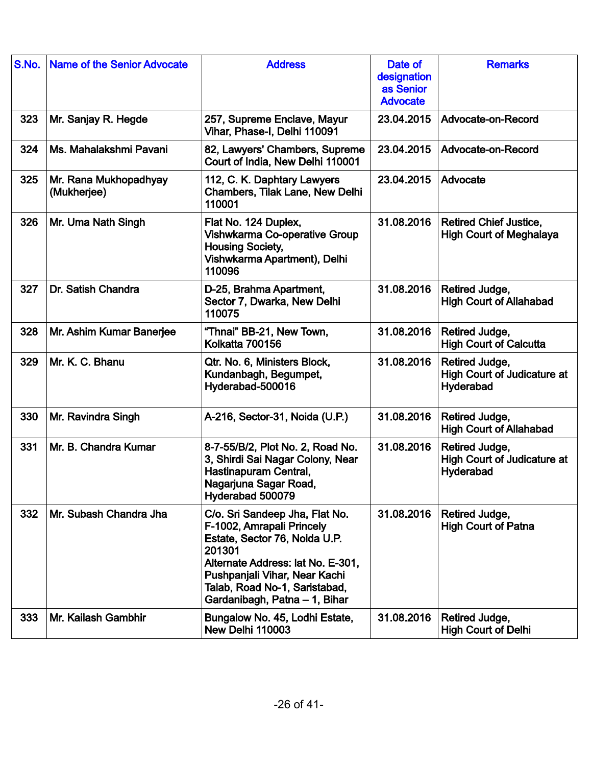| S.No. | <b>Name of the Senior Advocate</b>   | <b>Address</b>                                                                                                                                                                                                                                 | Date of<br>designation<br>as Senior<br><b>Advocate</b> | <b>Remarks</b>                                                    |
|-------|--------------------------------------|------------------------------------------------------------------------------------------------------------------------------------------------------------------------------------------------------------------------------------------------|--------------------------------------------------------|-------------------------------------------------------------------|
| 323   | Mr. Sanjay R. Hegde                  | 257, Supreme Enclave, Mayur<br>Vihar, Phase-I, Delhi 110091                                                                                                                                                                                    | 23.04.2015                                             | Advocate-on-Record                                                |
| 324   | Ms. Mahalakshmi Pavani               | 82, Lawyers' Chambers, Supreme<br>Court of India, New Delhi 110001                                                                                                                                                                             | 23.04.2015                                             | Advocate-on-Record                                                |
| 325   | Mr. Rana Mukhopadhyay<br>(Mukherjee) | 112, C. K. Daphtary Lawyers<br><b>Chambers, Tilak Lane, New Delhi</b><br>110001                                                                                                                                                                | 23.04.2015                                             | Advocate                                                          |
| 326   | Mr. Uma Nath Singh                   | Flat No. 124 Duplex,<br>Vishwkarma Co-operative Group<br><b>Housing Society,</b><br>Vishwkarma Apartment), Delhi<br>110096                                                                                                                     | 31.08.2016                                             | <b>Retired Chief Justice,</b><br><b>High Court of Meghalaya</b>   |
| 327   | Dr. Satish Chandra                   | D-25, Brahma Apartment,<br>Sector 7, Dwarka, New Delhi<br>110075                                                                                                                                                                               | 31.08.2016                                             | Retired Judge,<br><b>High Court of Allahabad</b>                  |
| 328   | Mr. Ashim Kumar Banerjee             | "Thnai" BB-21, New Town,<br>Kolkatta 700156                                                                                                                                                                                                    | 31.08.2016                                             | Retired Judge,<br><b>High Court of Calcutta</b>                   |
| 329   | Mr. K. C. Bhanu                      | Qtr. No. 6, Ministers Block,<br>Kundanbagh, Begumpet,<br>Hyderabad-500016                                                                                                                                                                      | 31.08.2016                                             | Retired Judge,<br><b>High Court of Judicature at</b><br>Hyderabad |
| 330   | Mr. Ravindra Singh                   | A-216, Sector-31, Noida (U.P.)                                                                                                                                                                                                                 | 31.08.2016                                             | Retired Judge,<br><b>High Court of Allahabad</b>                  |
| 331   | Mr. B. Chandra Kumar                 | 8-7-55/B/2, Plot No. 2, Road No.<br>3, Shirdi Sai Nagar Colony, Near<br>Hastinapuram Central,<br>Nagarjuna Sagar Road,<br>Hyderabad 500079                                                                                                     | 31.08.2016                                             | Retired Judge,<br><b>High Court of Judicature at</b><br>Hyderabad |
| 332   | Mr. Subash Chandra Jha               | C/o. Sri Sandeep Jha, Flat No.<br>F-1002, Amrapali Princely<br>Estate, Sector 76, Noida U.P.<br>201301<br>Alternate Address: lat No. E-301,<br>Pushpanjali Vihar, Near Kachi<br>Talab, Road No-1, Saristabad,<br>Gardanibagh, Patna - 1, Bihar | 31.08.2016                                             | Retired Judge,<br><b>High Court of Patna</b>                      |
| 333   | Mr. Kailash Gambhir                  | Bungalow No. 45, Lodhi Estate,<br>New Delhi 110003                                                                                                                                                                                             | 31.08.2016                                             | Retired Judge,<br><b>High Court of Delhi</b>                      |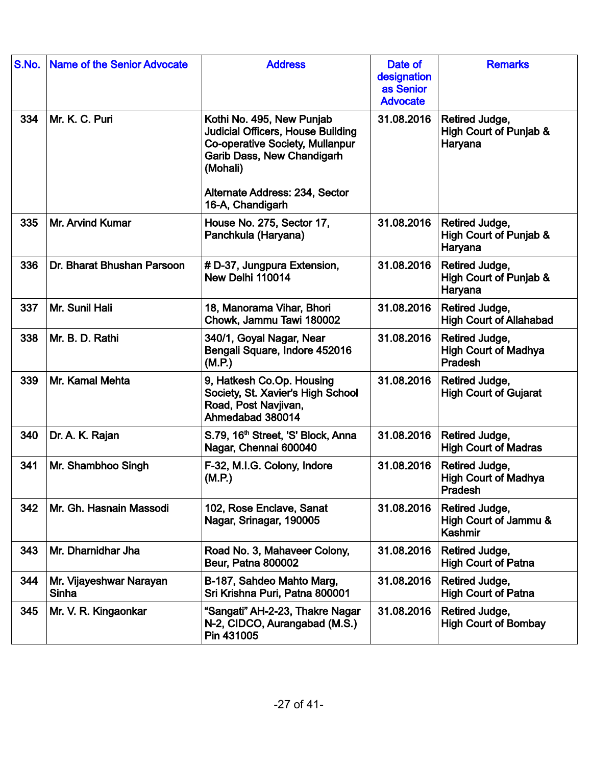| S.No. | <b>Name of the Senior Advocate</b> | <b>Address</b>                                                                                                                                                                                                  | Date of<br>designation<br>as Senior<br><b>Advocate</b> | <b>Remarks</b>                                            |
|-------|------------------------------------|-----------------------------------------------------------------------------------------------------------------------------------------------------------------------------------------------------------------|--------------------------------------------------------|-----------------------------------------------------------|
| 334   | Mr. K. C. Puri                     | Kothi No. 495, New Punjab<br><b>Judicial Officers, House Building</b><br><b>Co-operative Society, Mullanpur</b><br>Garib Dass, New Chandigarh<br>(Mohali)<br>Alternate Address: 234, Sector<br>16-A, Chandigarh | 31.08.2016                                             | Retired Judge,<br>High Court of Punjab &<br>Haryana       |
| 335   | Mr. Arvind Kumar                   | House No. 275, Sector 17,<br>Panchkula (Haryana)                                                                                                                                                                | 31.08.2016                                             | Retired Judge,<br>High Court of Punjab &<br>Haryana       |
| 336   | Dr. Bharat Bhushan Parsoon         | # D-37, Jungpura Extension,<br>New Delhi 110014                                                                                                                                                                 | 31.08.2016                                             | Retired Judge,<br>High Court of Punjab &<br>Haryana       |
| 337   | Mr. Sunil Hali                     | 18, Manorama Vihar, Bhori<br>Chowk, Jammu Tawi 180002                                                                                                                                                           | 31.08.2016                                             | Retired Judge,<br><b>High Court of Allahabad</b>          |
| 338   | Mr. B. D. Rathi                    | 340/1, Goyal Nagar, Near<br>Bengali Square, Indore 452016<br>(M.P.)                                                                                                                                             | 31.08.2016                                             | Retired Judge,<br><b>High Court of Madhya</b><br>Pradesh  |
| 339   | Mr. Kamal Mehta                    | 9, Hatkesh Co.Op. Housing<br>Society, St. Xavier's High School<br>Road, Post Navjivan,<br>Ahmedabad 380014                                                                                                      | 31.08.2016                                             | Retired Judge,<br><b>High Court of Gujarat</b>            |
| 340   | Dr. A. K. Rajan                    | S.79, 16 <sup>th</sup> Street, 'S' Block, Anna<br>Nagar, Chennai 600040                                                                                                                                         | 31.08.2016                                             | Retired Judge,<br><b>High Court of Madras</b>             |
| 341   | Mr. Shambhoo Singh                 | F-32, M.I.G. Colony, Indore<br>(M.P.)                                                                                                                                                                           | 31.08.2016                                             | Retired Judge,<br><b>High Court of Madhya</b><br>Pradesh  |
| 342   | Mr. Gh. Hasnain Massodi            | 102, Rose Enclave, Sanat<br>Nagar, Srinagar, 190005                                                                                                                                                             | 31.08.2016                                             | Retired Judge,<br>High Court of Jammu &<br><b>Kashmir</b> |
| 343   | Mr. Dharnidhar Jha                 | Road No. 3, Mahaveer Colony,<br><b>Beur, Patna 800002</b>                                                                                                                                                       | 31.08.2016                                             | Retired Judge,<br><b>High Court of Patna</b>              |
| 344   | Mr. Vijayeshwar Narayan<br>Sinha   | B-187, Sahdeo Mahto Marg,<br>Sri Krishna Puri, Patna 800001                                                                                                                                                     | 31.08.2016                                             | Retired Judge,<br><b>High Court of Patna</b>              |
| 345   | Mr. V. R. Kingaonkar               | "Sangati" AH-2-23, Thakre Nagar<br>N-2, CIDCO, Aurangabad (M.S.)<br>Pin 431005                                                                                                                                  | 31.08.2016                                             | Retired Judge,<br><b>High Court of Bombay</b>             |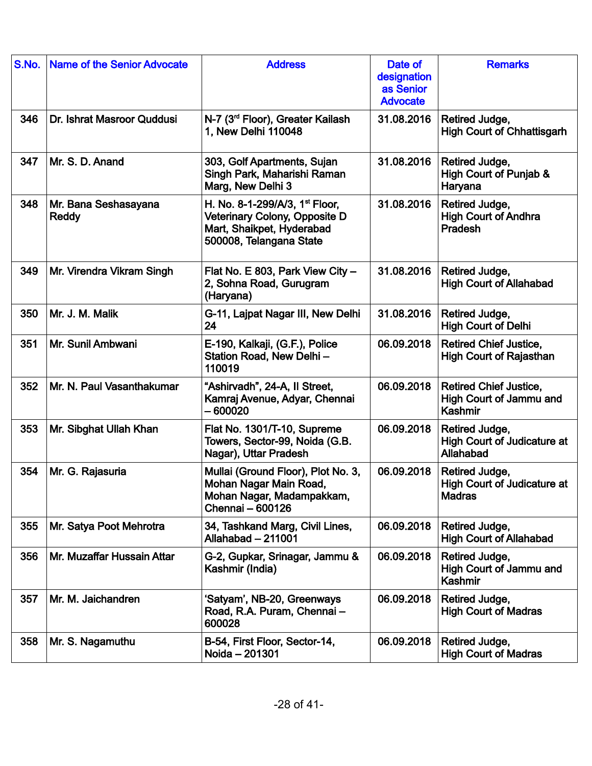| S.No. | <b>Name of the Senior Advocate</b> | <b>Address</b>                                                                                                                      | Date of<br>designation<br>as Senior<br><b>Advocate</b> | <b>Remarks</b>                                                        |
|-------|------------------------------------|-------------------------------------------------------------------------------------------------------------------------------------|--------------------------------------------------------|-----------------------------------------------------------------------|
| 346   | Dr. Ishrat Masroor Quddusi         | N-7 (3 <sup>rd</sup> Floor), Greater Kailash<br>1, New Delhi 110048                                                                 | 31.08.2016                                             | Retired Judge,<br><b>High Court of Chhattisgarh</b>                   |
| 347   | Mr. S. D. Anand                    | 303, Golf Apartments, Sujan<br>Singh Park, Maharishi Raman<br>Marg, New Delhi 3                                                     | 31.08.2016                                             | Retired Judge,<br>High Court of Punjab &<br>Haryana                   |
| 348   | Mr. Bana Seshasayana<br>Reddy      | H. No. 8-1-299/A/3, 1 <sup>st</sup> Floor,<br>Veterinary Colony, Opposite D<br>Mart, Shaikpet, Hyderabad<br>500008, Telangana State | 31.08.2016                                             | Retired Judge,<br><b>High Court of Andhra</b><br><b>Pradesh</b>       |
| 349   | Mr. Virendra Vikram Singh          | Flat No. E 803, Park View City -<br>2, Sohna Road, Gurugram<br>(Haryana)                                                            | 31.08.2016                                             | Retired Judge,<br><b>High Court of Allahabad</b>                      |
| 350   | Mr. J. M. Malik                    | G-11, Lajpat Nagar III, New Delhi<br>24                                                                                             | 31.08.2016                                             | Retired Judge,<br><b>High Court of Delhi</b>                          |
| 351   | Mr. Sunil Ambwani                  | E-190, Kalkaji, (G.F.), Police<br>Station Road, New Delhi-<br>110019                                                                | 06.09.2018                                             | <b>Retired Chief Justice,</b><br><b>High Court of Rajasthan</b>       |
| 352   | Mr. N. Paul Vasanthakumar          | "Ashirvadh", 24-A, II Street,<br>Kamraj Avenue, Adyar, Chennai<br>- 600020                                                          | 06.09.2018                                             | <b>Retired Chief Justice,</b><br>High Court of Jammu and<br>Kashmir   |
| 353   | Mr. Sibghat Ullah Khan             | Flat No. 1301/T-10, Supreme<br>Towers, Sector-99, Noida (G.B.<br>Nagar), Uttar Pradesh                                              | 06.09.2018                                             | Retired Judge,<br><b>High Court of Judicature at</b><br>Allahabad     |
| 354   | Mr. G. Rajasuria                   | Mullai (Ground Floor), Plot No. 3,<br>Mohan Nagar Main Road.<br>Mohan Nagar, Madampakkam,<br>Chennai - 600126                       | 06.09.2018                                             | Retired Judge,<br><b>High Court of Judicature at</b><br><b>Madras</b> |
| 355   | Mr. Satya Poot Mehrotra            | 34, Tashkand Marg, Civil Lines,<br>Allahabad - 211001                                                                               | 06.09.2018                                             | Retired Judge,<br><b>High Court of Allahabad</b>                      |
| 356   | Mr. Muzaffar Hussain Attar         | G-2, Gupkar, Srinagar, Jammu &<br>Kashmir (India)                                                                                   | 06.09.2018                                             | Retired Judge,<br>High Court of Jammu and<br>Kashmir                  |
| 357   | Mr. M. Jaichandren                 | 'Satyam', NB-20, Greenways<br>Road, R.A. Puram, Chennai-<br>600028                                                                  | 06.09.2018                                             | Retired Judge,<br><b>High Court of Madras</b>                         |
| 358   | Mr. S. Nagamuthu                   | B-54, First Floor, Sector-14,<br>Noida - 201301                                                                                     | 06.09.2018                                             | Retired Judge,<br><b>High Court of Madras</b>                         |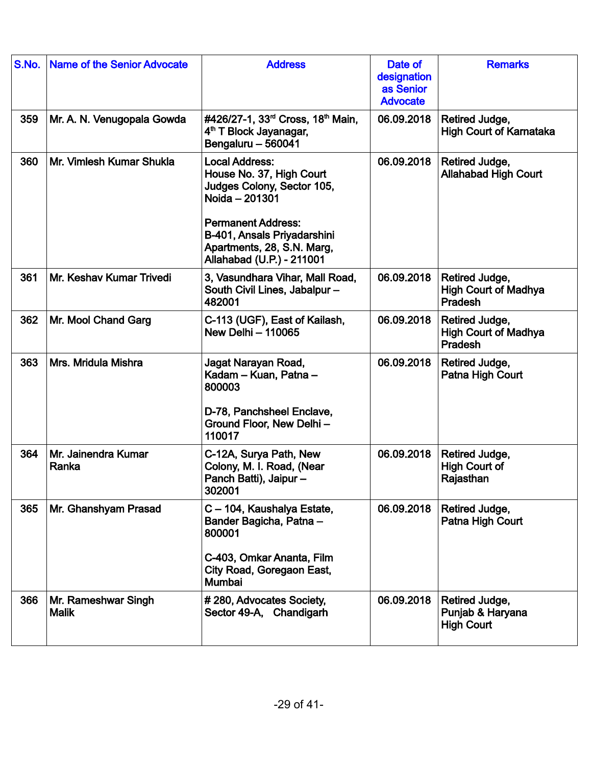| S.No. | <b>Name of the Senior Advocate</b>  | <b>Address</b>                                                                                                                                                                                                           | Date of<br>designation<br>as Senior<br><b>Advocate</b> | <b>Remarks</b>                                                  |
|-------|-------------------------------------|--------------------------------------------------------------------------------------------------------------------------------------------------------------------------------------------------------------------------|--------------------------------------------------------|-----------------------------------------------------------------|
| 359   | Mr. A. N. Venugopala Gowda          | #426/27-1, 33 <sup>rd</sup> Cross, 18 <sup>th</sup> Main,<br>4 <sup>th</sup> T Block Jayanagar,<br>Bengaluru - 560041                                                                                                    | 06.09.2018                                             | Retired Judge,<br><b>High Court of Karnataka</b>                |
| 360   | Mr. Vimlesh Kumar Shukla            | <b>Local Address:</b><br>House No. 37, High Court<br>Judges Colony, Sector 105,<br>Noida - 201301<br><b>Permanent Address:</b><br>B-401, Ansals Priyadarshini<br>Apartments, 28, S.N. Marg,<br>Allahabad (U.P.) - 211001 | 06.09.2018                                             | Retired Judge,<br><b>Allahabad High Court</b>                   |
| 361   | Mr. Keshav Kumar Trivedi            | 3, Vasundhara Vihar, Mall Road,<br>South Civil Lines, Jabalpur-<br>482001                                                                                                                                                | 06.09.2018                                             | Retired Judge,<br><b>High Court of Madhya</b><br><b>Pradesh</b> |
| 362   | Mr. Mool Chand Garg                 | C-113 (UGF), East of Kailash,<br>New Delhi - 110065                                                                                                                                                                      | 06.09.2018                                             | Retired Judge,<br><b>High Court of Madhya</b><br>Pradesh        |
| 363   | Mrs. Mridula Mishra                 | Jagat Narayan Road,<br>Kadam - Kuan, Patna -<br>800003<br>D-78, Panchsheel Enclave,<br>Ground Floor, New Delhi-<br>110017                                                                                                | 06.09.2018                                             | Retired Judge,<br>Patna High Court                              |
| 364   | Mr. Jainendra Kumar<br>Ranka        | C-12A, Surya Path, New<br>Colony, M. I. Road, (Near<br>Panch Batti), Jaipur-<br>302001                                                                                                                                   | 06.09.2018                                             | Retired Judge,<br><b>High Court of</b><br>Rajasthan             |
| 365   | Mr. Ghanshyam Prasad                | C - 104, Kaushalya Estate,<br>Bander Bagicha, Patna -<br>800001<br>C-403, Omkar Ananta, Film<br>City Road, Goregaon East,<br>Mumbai                                                                                      | 06.09.2018                                             | Retired Judge,<br>Patna High Court                              |
| 366   | Mr. Rameshwar Singh<br><b>Malik</b> | #280, Advocates Society,<br>Sector 49-A, Chandigarh                                                                                                                                                                      | 06.09.2018                                             | Retired Judge,<br>Punjab & Haryana<br><b>High Court</b>         |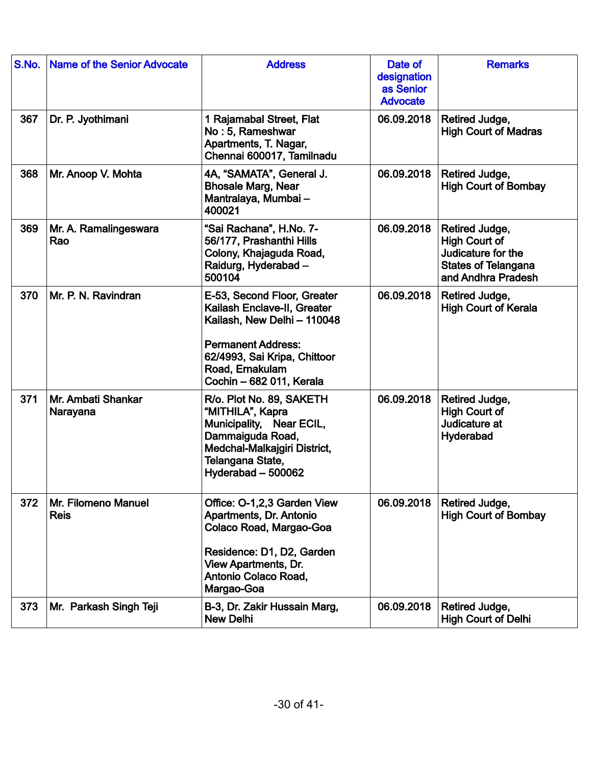| S.No. | <b>Name of the Senior Advocate</b> | <b>Address</b>                                                                                                                                                                                        | Date of<br>designation<br>as Senior<br><b>Advocate</b> | <b>Remarks</b>                                                                                            |
|-------|------------------------------------|-------------------------------------------------------------------------------------------------------------------------------------------------------------------------------------------------------|--------------------------------------------------------|-----------------------------------------------------------------------------------------------------------|
| 367   | Dr. P. Jyothimani                  | 1 Rajamabal Street, Flat<br>No: 5, Rameshwar<br>Apartments, T. Nagar,<br>Chennai 600017, Tamilnadu                                                                                                    | 06.09.2018                                             | Retired Judge,<br><b>High Court of Madras</b>                                                             |
| 368   | Mr. Anoop V. Mohta                 | 4A, "SAMATA", General J.<br><b>Bhosale Marg, Near</b><br>Mantralaya, Mumbai -<br>400021                                                                                                               | 06.09.2018                                             | Retired Judge,<br><b>High Court of Bombay</b>                                                             |
| 369   | Mr. A. Ramalingeswara<br>Rao       | "Sai Rachana", H.No. 7-<br>56/177, Prashanthi Hills<br>Colony, Khajaguda Road,<br>Raidurg, Hyderabad -<br>500104                                                                                      | 06.09.2018                                             | Retired Judge,<br>High Court of<br>Judicature for the<br><b>States of Telangana</b><br>and Andhra Pradesh |
| 370   | Mr. P. N. Ravindran                | E-53, Second Floor, Greater<br>Kailash Enclave-II, Greater<br>Kailash, New Delhi - 110048<br><b>Permanent Address:</b><br>62/4993, Sai Kripa, Chittoor<br>Road, Ernakulam<br>Cochin - 682 011, Kerala | 06.09.2018                                             | Retired Judge,<br><b>High Court of Kerala</b>                                                             |
| 371   | Mr. Ambati Shankar<br>Narayana     | R/o. Plot No. 89, SAKETH<br>"MITHILA", Kapra<br>Municipality, Near ECIL,<br>Dammaiguda Road,<br>Medchal-Malkajgiri District,<br>Telangana State,<br>Hyderabad - 500062                                | 06.09.2018                                             | Retired Judge,<br><b>High Court of</b><br>Judicature at<br>Hyderabad                                      |
| 372   | Mr. Filomeno Manuel<br><b>Reis</b> | Office: O-1,2,3 Garden View<br>Apartments, Dr. Antonio<br>Colaco Road, Margao-Goa<br>Residence: D1, D2, Garden<br><b>View Apartments, Dr.</b><br>Antonio Colaco Road,<br>Margao-Goa                   | 06.09.2018                                             | Retired Judge,<br><b>High Court of Bombay</b>                                                             |
| 373   | Mr. Parkash Singh Teji             | B-3, Dr. Zakir Hussain Marg,<br><b>New Delhi</b>                                                                                                                                                      | 06.09.2018                                             | Retired Judge,<br><b>High Court of Delhi</b>                                                              |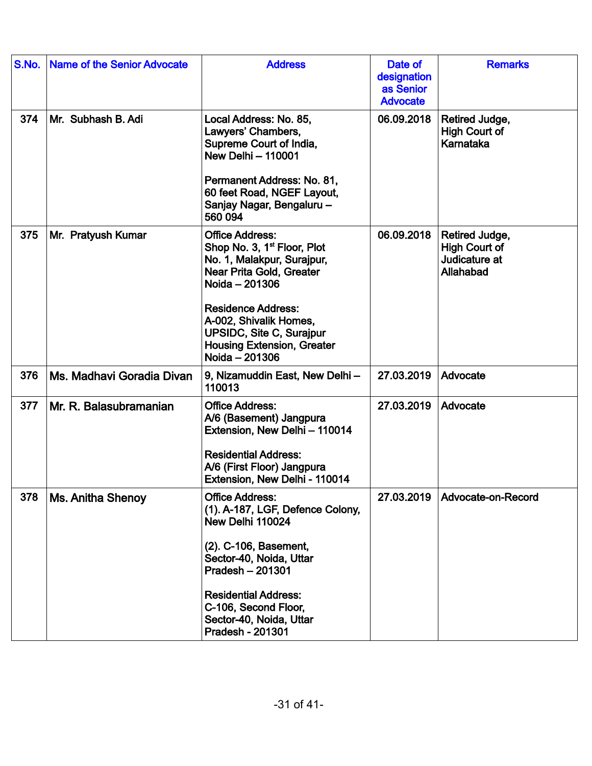| S.No. | Name of the Senior Advocate | <b>Address</b>                                                                                                                                                                                                                                                                                 | Date of<br>designation<br>as Senior<br><b>Advocate</b> | <b>Remarks</b>                                                       |
|-------|-----------------------------|------------------------------------------------------------------------------------------------------------------------------------------------------------------------------------------------------------------------------------------------------------------------------------------------|--------------------------------------------------------|----------------------------------------------------------------------|
| 374   | Mr. Subhash B. Adi          | Local Address: No. 85,<br>Lawyers' Chambers,<br>Supreme Court of India,<br><b>New Delhi - 110001</b><br>Permanent Address: No. 81,<br>60 feet Road, NGEF Layout,<br>Sanjay Nagar, Bengaluru -<br>560 094                                                                                       | 06.09.2018                                             | Retired Judge,<br><b>High Court of</b><br>Karnataka                  |
| 375   | Mr. Pratyush Kumar          | <b>Office Address:</b><br>Shop No. 3, 1 <sup>st</sup> Floor, Plot<br>No. 1, Malakpur, Surajpur,<br>Near Prita Gold, Greater<br>Noida - 201306<br><b>Residence Address:</b><br>A-002, Shivalik Homes,<br><b>UPSIDC, Site C, Surajpur</b><br><b>Housing Extension, Greater</b><br>Noida - 201306 | 06.09.2018                                             | Retired Judge,<br><b>High Court of</b><br>Judicature at<br>Allahabad |
| 376   | Ms. Madhavi Goradia Divan   | 9, Nizamuddin East, New Delhi-<br>110013                                                                                                                                                                                                                                                       | 27.03.2019                                             | Advocate                                                             |
| 377   | Mr. R. Balasubramanian      | <b>Office Address:</b><br>A/6 (Basement) Jangpura<br>Extension, New Delhi - 110014<br><b>Residential Address:</b><br>A/6 (First Floor) Jangpura<br>Extension, New Delhi - 110014                                                                                                               | 27.03.2019                                             | Advocate                                                             |
| 378   | <b>Ms. Anitha Shenoy</b>    | <b>Office Address:</b><br>(1). A-187, LGF, Defence Colony,<br>New Delhi 110024<br>(2). C-106, Basement,<br>Sector-40, Noida, Uttar<br>Pradesh - 201301<br><b>Residential Address:</b><br>C-106, Second Floor,<br>Sector-40, Noida, Uttar<br>Pradesh - 201301                                   | 27.03.2019                                             | Advocate-on-Record                                                   |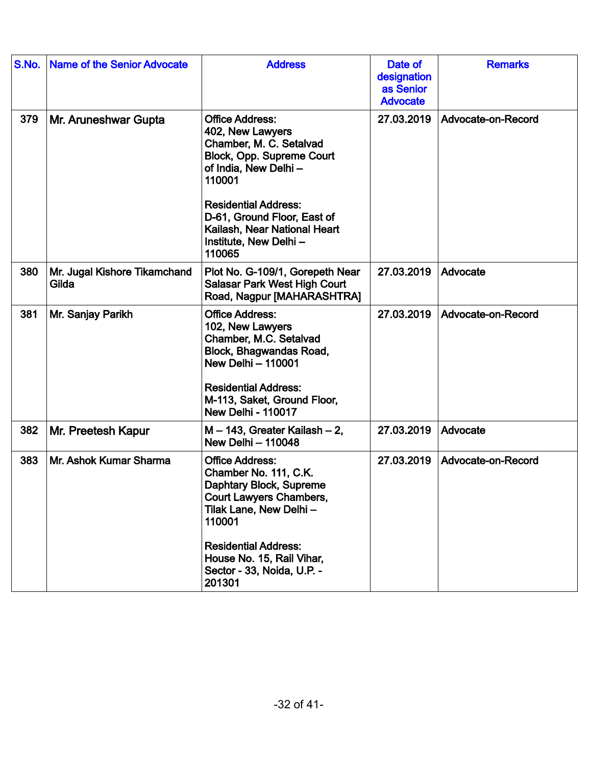| S.No. | <b>Name of the Senior Advocate</b>    | <b>Address</b>                                                                                                                                                                                                                                                        | Date of<br>designation<br>as Senior<br><b>Advocate</b> | <b>Remarks</b>     |
|-------|---------------------------------------|-----------------------------------------------------------------------------------------------------------------------------------------------------------------------------------------------------------------------------------------------------------------------|--------------------------------------------------------|--------------------|
| 379   | Mr. Aruneshwar Gupta                  | <b>Office Address:</b><br>402, New Lawyers<br>Chamber, M. C. Setalvad<br>Block, Opp. Supreme Court<br>of India, New Delhi-<br>110001<br><b>Residential Address:</b><br>D-61, Ground Floor, East of<br>Kailash, Near National Heart<br>Institute, New Delhi-<br>110065 | 27.03.2019                                             | Advocate-on-Record |
| 380   | Mr. Jugal Kishore Tikamchand<br>Gilda | Plot No. G-109/1, Gorepeth Near<br><b>Salasar Park West High Court</b><br>Road, Nagpur [MAHARASHTRA]                                                                                                                                                                  | 27.03.2019                                             | Advocate           |
| 381   | Mr. Sanjay Parikh                     | <b>Office Address:</b><br>102, New Lawyers<br>Chamber, M.C. Setalvad<br>Block, Bhagwandas Road,<br><b>New Delhi - 110001</b><br><b>Residential Address:</b><br>M-113, Saket, Ground Floor,<br><b>New Delhi - 110017</b>                                               | 27.03.2019                                             | Advocate-on-Record |
| 382   | Mr. Preetesh Kapur                    | $M - 143$ , Greater Kailash $-2$ ,<br><b>New Delhi - 110048</b>                                                                                                                                                                                                       | 27.03.2019                                             | Advocate           |
| 383   | Mr. Ashok Kumar Sharma                | <b>Office Address:</b><br>Chamber No. 111, C.K.<br>Daphtary Block, Supreme<br><b>Court Lawyers Chambers,</b><br>Tilak Lane, New Delhi -<br>110001<br><b>Residential Address:</b><br>House No. 15, Rail Vihar,<br>Sector - 33, Noida, U.P. -<br>201301                 | 27.03.2019                                             | Advocate-on-Record |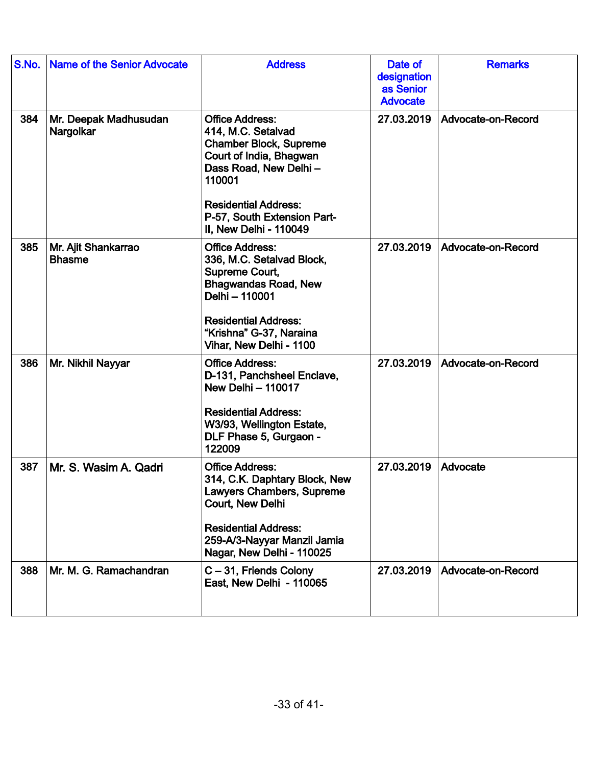| S.No. | <b>Name of the Senior Advocate</b>   | <b>Address</b>                                                                                                                                                                                                                      | Date of<br>designation<br>as Senior<br><b>Advocate</b> | <b>Remarks</b>     |
|-------|--------------------------------------|-------------------------------------------------------------------------------------------------------------------------------------------------------------------------------------------------------------------------------------|--------------------------------------------------------|--------------------|
| 384   | Mr. Deepak Madhusudan<br>Nargolkar   | <b>Office Address:</b><br>414, M.C. Setalvad<br><b>Chamber Block, Supreme</b><br>Court of India, Bhagwan<br>Dass Road, New Delhi-<br>110001<br><b>Residential Address:</b><br>P-57, South Extension Part-<br>II. New Delhi - 110049 | 27.03.2019                                             | Advocate-on-Record |
| 385   | Mr. Ajit Shankarrao<br><b>Bhasme</b> | <b>Office Address:</b><br>336, M.C. Setalvad Block,<br>Supreme Court,<br><b>Bhagwandas Road, New</b><br>Delhi - 110001<br><b>Residential Address:</b><br>"Krishna" G-37, Naraina<br>Vihar, New Delhi - 1100                         | 27.03.2019                                             | Advocate-on-Record |
| 386   | Mr. Nikhil Nayyar                    | <b>Office Address:</b><br>D-131, Panchsheel Enclave,<br><b>New Delhi - 110017</b><br><b>Residential Address:</b><br>W3/93, Wellington Estate,<br>DLF Phase 5, Gurgaon -<br>122009                                                   | 27.03.2019                                             | Advocate-on-Record |
| 387   | Mr. S. Wasim A. Qadri                | <b>Office Address:</b><br>314, C.K. Daphtary Block, New<br>Lawyers Chambers, Supreme<br>Court, New Delhi<br><b>Residential Address:</b><br>259-A/3-Nayyar Manzil Jamia<br>Nagar, New Delhi - 110025                                 | 27.03.2019                                             | Advocate           |
| 388   | Mr. M. G. Ramachandran               | C-31, Friends Colony<br>East, New Delhi - 110065                                                                                                                                                                                    | 27.03.2019                                             | Advocate-on-Record |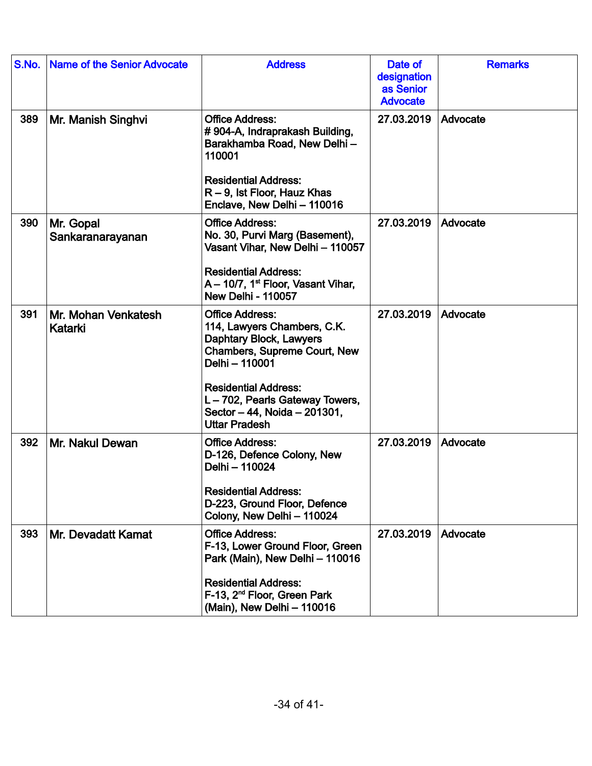| S.No. | <b>Name of the Senior Advocate</b> | <b>Address</b>                                                                                                                                                                                                                                             | Date of<br>designation<br>as Senior<br><b>Advocate</b> | <b>Remarks</b> |
|-------|------------------------------------|------------------------------------------------------------------------------------------------------------------------------------------------------------------------------------------------------------------------------------------------------------|--------------------------------------------------------|----------------|
| 389   | Mr. Manish Singhvi                 | <b>Office Address:</b><br>#904-A, Indraprakash Building,<br>Barakhamba Road, New Delhi-<br>110001<br><b>Residential Address:</b><br>$R - 9$ , lst Floor, Hauz Khas<br>Enclave, New Delhi - 110016                                                          | 27.03.2019                                             | Advocate       |
| 390   | Mr. Gopal<br>Sankaranarayanan      | <b>Office Address:</b><br>No. 30, Purvi Marg (Basement),<br>Vasant Vihar, New Delhi - 110057<br><b>Residential Address:</b><br>A - 10/7, 1 <sup>st</sup> Floor, Vasant Vihar,<br><b>New Delhi - 110057</b>                                                 | 27.03.2019                                             | Advocate       |
| 391   | Mr. Mohan Venkatesh<br>Katarki     | <b>Office Address:</b><br>114, Lawyers Chambers, C.K.<br>Daphtary Block, Lawyers<br>Chambers, Supreme Court, New<br>Delhi - 110001<br><b>Residential Address:</b><br>L-702, Pearls Gateway Towers,<br>Sector - 44, Noida - 201301,<br><b>Uttar Pradesh</b> | 27.03.2019                                             | Advocate       |
| 392   | Mr. Nakul Dewan                    | <b>Office Address:</b><br>D-126, Defence Colony, New<br>Delhi - 110024<br><b>Residential Address:</b><br>D-223, Ground Floor, Defence<br>Colony, New Delhi - 110024                                                                                        | 27.03.2019                                             | Advocate       |
| 393   | Mr. Devadatt Kamat                 | <b>Office Address:</b><br>F-13, Lower Ground Floor, Green<br>Park (Main), New Delhi - 110016<br><b>Residential Address:</b><br>F-13, 2 <sup>nd</sup> Floor, Green Park<br>(Main), New Delhi - 110016                                                       | 27.03.2019                                             | Advocate       |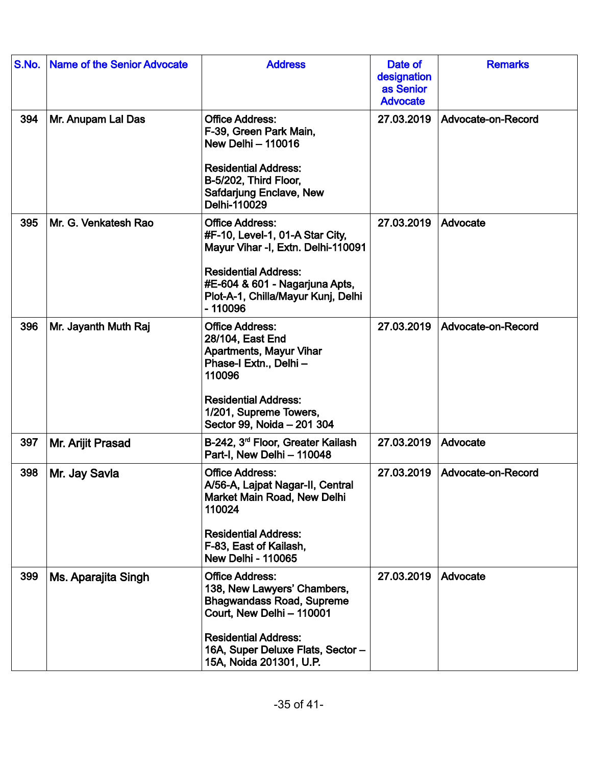| S.No. | <b>Name of the Senior Advocate</b> | <b>Address</b>                                                                                                                                                                                                        | Date of<br>designation<br>as Senior<br><b>Advocate</b> | <b>Remarks</b>     |
|-------|------------------------------------|-----------------------------------------------------------------------------------------------------------------------------------------------------------------------------------------------------------------------|--------------------------------------------------------|--------------------|
| 394   | Mr. Anupam Lal Das                 | <b>Office Address:</b><br>F-39, Green Park Main,<br><b>New Delhi - 110016</b><br><b>Residential Address:</b><br>B-5/202, Third Floor,<br>Safdarjung Enclave, New<br>Delhi-110029                                      | 27.03.2019                                             | Advocate-on-Record |
| 395   | Mr. G. Venkatesh Rao               | <b>Office Address:</b><br>#F-10, Level-1, 01-A Star City,<br>Mayur Vihar -I, Extn. Delhi-110091<br><b>Residential Address:</b><br>#E-604 & 601 - Nagarjuna Apts,<br>Plot-A-1, Chilla/Mayur Kunj, Delhi<br>$-110096$   | 27.03.2019                                             | Advocate           |
| 396   | Mr. Jayanth Muth Raj               | <b>Office Address:</b><br>28/104, East End<br><b>Apartments, Mayur Vihar</b><br>Phase-I Extn., Delhi -<br>110096<br><b>Residential Address:</b><br>1/201, Supreme Towers,<br>Sector 99, Noida - 201 304               | 27.03.2019                                             | Advocate-on-Record |
| 397   | Mr. Arijit Prasad                  | B-242, 3 <sup>rd</sup> Floor, Greater Kailash<br>Part-I, New Delhi - 110048                                                                                                                                           | 27.03.2019                                             | Advocate           |
| 398   | Mr. Jay Savla                      | <b>Office Address:</b><br>A/56-A, Lajpat Nagar-II, Central<br>Market Main Road, New Delhi<br>110024<br><b>Residential Address:</b><br>F-83, East of Kailash,<br><b>New Delhi - 110065</b>                             | 27.03.2019                                             | Advocate-on-Record |
| 399   | Ms. Aparajita Singh                | <b>Office Address:</b><br>138, New Lawyers' Chambers,<br><b>Bhagwandass Road, Supreme</b><br>Court, New Delhi - 110001<br><b>Residential Address:</b><br>16A, Super Deluxe Flats, Sector -<br>15A, Noida 201301, U.P. | 27.03.2019                                             | Advocate           |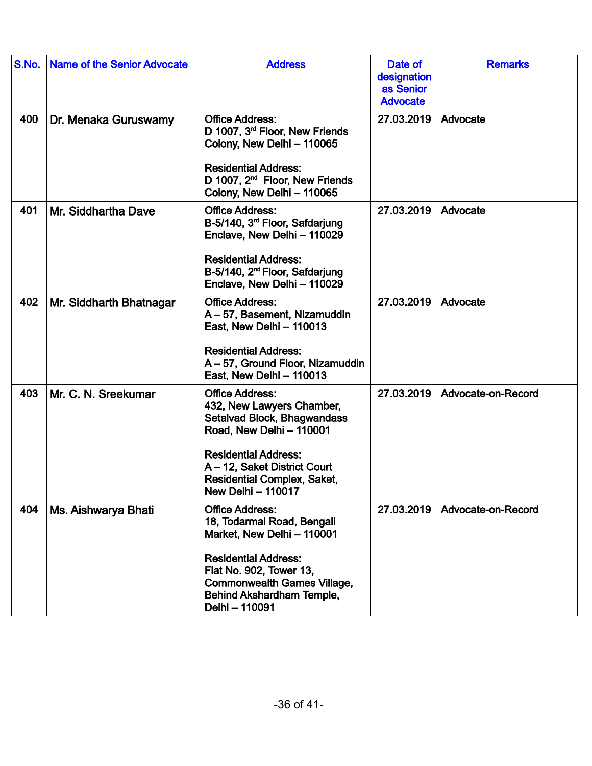| S.No. | <b>Name of the Senior Advocate</b> | <b>Address</b>                                                                                                                                                                                                                                   | Date of<br>designation<br>as Senior<br><b>Advocate</b> | <b>Remarks</b>     |
|-------|------------------------------------|--------------------------------------------------------------------------------------------------------------------------------------------------------------------------------------------------------------------------------------------------|--------------------------------------------------------|--------------------|
| 400   | Dr. Menaka Guruswamy               | <b>Office Address:</b><br>D 1007, 3 <sup>rd</sup> Floor, New Friends<br>Colony, New Delhi - 110065<br><b>Residential Address:</b><br>D 1007, 2 <sup>nd</sup> Floor, New Friends<br>Colony, New Delhi - 110065                                    | 27.03.2019                                             | Advocate           |
| 401   | Mr. Siddhartha Dave                | <b>Office Address:</b><br>B-5/140, 3 <sup>rd</sup> Floor, Safdarjung<br>Enclave, New Delhi - 110029<br><b>Residential Address:</b><br>B-5/140, 2 <sup>nd</sup> Floor, Safdarjung<br>Enclave, New Delhi - 110029                                  | 27.03.2019                                             | Advocate           |
| 402   | Mr. Siddharth Bhatnagar            | <b>Office Address:</b><br>A-57, Basement, Nizamuddin<br>East, New Delhi - 110013<br><b>Residential Address:</b><br>A - 57, Ground Floor, Nizamuddin<br>East, New Delhi - 110013                                                                  | 27.03.2019                                             | Advocate           |
| 403   | Mr. C. N. Sreekumar                | <b>Office Address:</b><br>432, New Lawyers Chamber,<br>Setalvad Block, Bhagwandass<br>Road, New Delhi - 110001<br><b>Residential Address:</b><br>A - 12, Saket District Court<br><b>Residential Complex, Saket,</b><br><b>New Delhi - 110017</b> | 27.03.2019                                             | Advocate-on-Record |
| 404   | Ms. Aishwarya Bhati                | <b>Office Address:</b><br>18, Todarmal Road, Bengali<br>Market, New Delhi - 110001<br><b>Residential Address:</b><br>Flat No. 902, Tower 13,<br><b>Commonwealth Games Village,</b><br>Behind Akshardham Temple,<br>Delhi - 110091                | 27.03.2019                                             | Advocate-on-Record |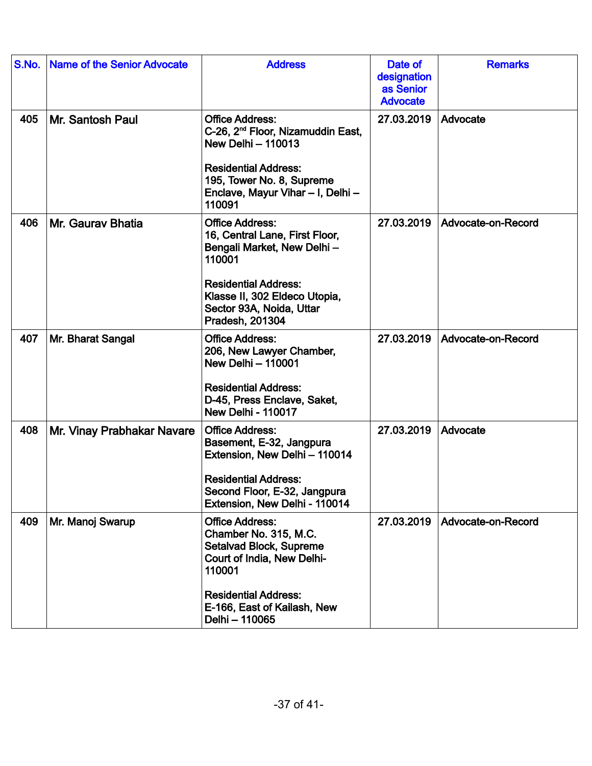| S.No. | <b>Name of the Senior Advocate</b> | <b>Address</b>                                                                                                                                                                                                  | Date of<br>designation<br>as Senior<br><b>Advocate</b> | <b>Remarks</b>     |
|-------|------------------------------------|-----------------------------------------------------------------------------------------------------------------------------------------------------------------------------------------------------------------|--------------------------------------------------------|--------------------|
| 405   | Mr. Santosh Paul                   | <b>Office Address:</b><br>C-26, 2 <sup>nd</sup> Floor, Nizamuddin East,<br><b>New Delhi - 110013</b><br><b>Residential Address:</b><br>195, Tower No. 8, Supreme<br>Enclave, Mayur Vihar - I, Delhi -<br>110091 | 27.03.2019                                             | Advocate           |
| 406   | Mr. Gauray Bhatia                  | <b>Office Address:</b><br>16, Central Lane, First Floor,<br>Bengali Market, New Delhi-<br>110001<br><b>Residential Address:</b><br>Klasse II, 302 Eldeco Utopia,<br>Sector 93A, Noida, Uttar<br>Pradesh, 201304 | 27.03.2019                                             | Advocate-on-Record |
| 407   | Mr. Bharat Sangal                  | <b>Office Address:</b><br>206, New Lawyer Chamber,<br><b>New Delhi - 110001</b><br><b>Residential Address:</b><br>D-45, Press Enclave, Saket,<br><b>New Delhi - 110017</b>                                      | 27.03.2019                                             | Advocate-on-Record |
| 408   | Mr. Vinay Prabhakar Navare         | <b>Office Address:</b><br>Basement, E-32, Jangpura<br>Extension, New Delhi - 110014<br><b>Residential Address:</b><br>Second Floor, E-32, Jangpura<br>Extension, New Delhi - 110014                             | 27.03.2019                                             | Advocate           |
| 409   | Mr. Manoj Swarup                   | <b>Office Address:</b><br>Chamber No. 315, M.C.<br>Setalvad Block, Supreme<br>Court of India, New Delhi-<br>110001<br><b>Residential Address:</b><br>E-166, East of Kailash, New<br>Delhi - 110065              | 27.03.2019                                             | Advocate-on-Record |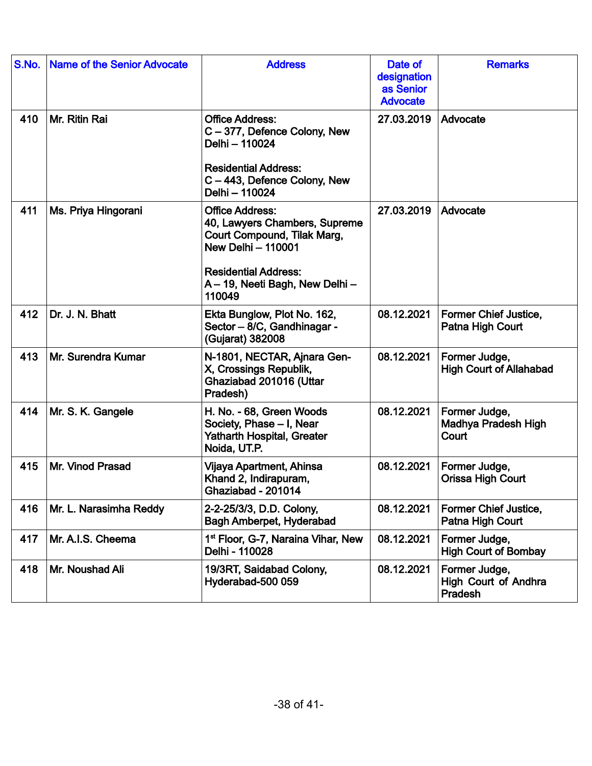| S.No. | <b>Name of the Senior Advocate</b> | <b>Address</b>                                                                                                                                                                                  | Date of<br>designation<br>as Senior<br><b>Advocate</b> | <b>Remarks</b>                                   |
|-------|------------------------------------|-------------------------------------------------------------------------------------------------------------------------------------------------------------------------------------------------|--------------------------------------------------------|--------------------------------------------------|
| 410   | Mr. Ritin Rai                      | <b>Office Address:</b><br>C-377, Defence Colony, New<br>Delhi - 110024<br><b>Residential Address:</b><br>C-443, Defence Colony, New<br>Delhi - 110024                                           | 27.03.2019                                             | Advocate                                         |
| 411   | Ms. Priya Hingorani                | <b>Office Address:</b><br>40, Lawyers Chambers, Supreme<br>Court Compound, Tilak Marg,<br><b>New Delhi - 110001</b><br><b>Residential Address:</b><br>A - 19, Neeti Bagh, New Delhi -<br>110049 | 27.03.2019                                             | Advocate                                         |
| 412   | Dr. J. N. Bhatt                    | Ekta Bunglow, Plot No. 162,<br>Sector - 8/C, Gandhinagar -<br>(Gujarat) 382008                                                                                                                  | 08.12.2021                                             | <b>Former Chief Justice,</b><br>Patna High Court |
| 413   | Mr. Surendra Kumar                 | N-1801, NECTAR, Ajnara Gen-<br>X, Crossings Republik,<br>Ghaziabad 201016 (Uttar<br>Pradesh)                                                                                                    | 08.12.2021                                             | Former Judge,<br><b>High Court of Allahabad</b>  |
| 414   | Mr. S. K. Gangele                  | H. No. - 68, Green Woods<br>Society, Phase - I, Near<br><b>Yatharth Hospital, Greater</b><br>Noida, UT.P.                                                                                       | 08.12.2021                                             | Former Judge,<br>Madhya Pradesh High<br>Court    |
| 415   | Mr. Vinod Prasad                   | Vijaya Apartment, Ahinsa<br>Khand 2, Indirapuram,<br>Ghaziabad - 201014                                                                                                                         | 08.12.2021                                             | Former Judge,<br><b>Orissa High Court</b>        |
| 416   | Mr. L. Narasimha Reddy             | 2-2-25/3/3, D.D. Colony,<br>Bagh Amberpet, Hyderabad                                                                                                                                            | 08.12.2021                                             | <b>Former Chief Justice,</b><br>Patna High Court |
| 417   | Mr. A.I.S. Cheema                  | 1 <sup>st</sup> Floor, G-7, Naraina Vihar, New<br>Delhi - 110028                                                                                                                                | 08.12.2021                                             | Former Judge,<br><b>High Court of Bombay</b>     |
| 418   | Mr. Noushad Ali                    | 19/3RT, Saidabad Colony,<br>Hyderabad-500 059                                                                                                                                                   | 08.12.2021                                             | Former Judge,<br>High Court of Andhra<br>Pradesh |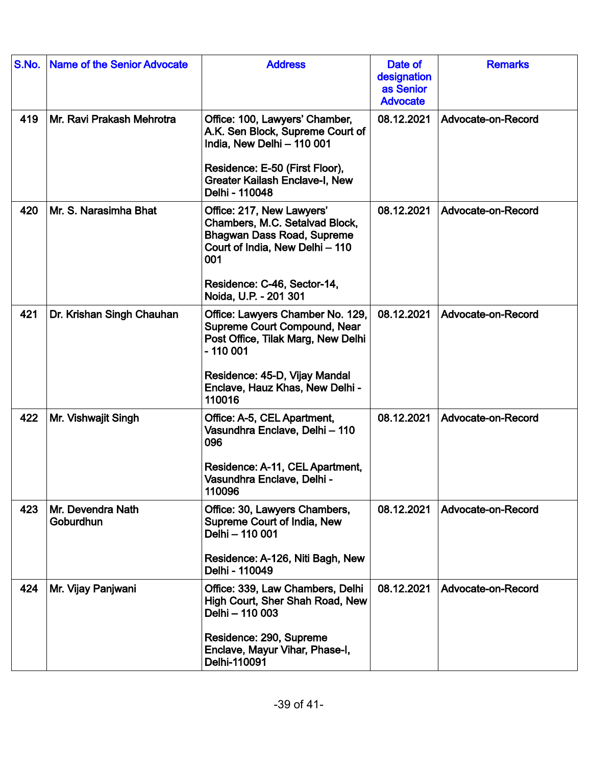| S.No. | <b>Name of the Senior Advocate</b> | <b>Address</b>                                                                                                                                                                                           | Date of<br>designation<br>as Senior<br><b>Advocate</b> | <b>Remarks</b>     |
|-------|------------------------------------|----------------------------------------------------------------------------------------------------------------------------------------------------------------------------------------------------------|--------------------------------------------------------|--------------------|
| 419   | Mr. Ravi Prakash Mehrotra          | Office: 100, Lawyers' Chamber,<br>A.K. Sen Block, Supreme Court of<br>India, New Delhi - 110 001<br>Residence: E-50 (First Floor),<br><b>Greater Kailash Enclave-I, New</b><br>Delhi - 110048            | 08.12.2021                                             | Advocate-on-Record |
| 420   | Mr. S. Narasimha Bhat              | Office: 217, New Lawyers'<br>Chambers, M.C. Setalvad Block,<br><b>Bhagwan Dass Road, Supreme</b><br>Court of India, New Delhi - 110<br>001<br>Residence: C-46, Sector-14,<br>Noida, U.P. - 201 301       | 08.12.2021                                             | Advocate-on-Record |
| 421   | Dr. Krishan Singh Chauhan          | Office: Lawyers Chamber No. 129,<br><b>Supreme Court Compound, Near</b><br>Post Office, Tilak Marg, New Delhi<br>$-110001$<br>Residence: 45-D, Vijay Mandal<br>Enclave, Hauz Khas, New Delhi -<br>110016 | 08.12.2021                                             | Advocate-on-Record |
| 422   | Mr. Vishwajit Singh                | Office: A-5, CEL Apartment,<br>Vasundhra Enclave, Delhi - 110<br>096<br>Residence: A-11, CEL Apartment,<br>Vasundhra Enclave, Delhi -<br>110096                                                          | 08.12.2021                                             | Advocate-on-Record |
| 423   | Mr. Devendra Nath<br>Goburdhun     | Office: 30, Lawyers Chambers,<br>Supreme Court of India, New<br>Delhi - 110 001<br>Residence: A-126, Niti Bagh, New<br>Delhi - 110049                                                                    | 08.12.2021                                             | Advocate-on-Record |
| 424   | Mr. Vijay Panjwani                 | Office: 339, Law Chambers, Delhi<br>High Court, Sher Shah Road, New<br>Delhi - 110 003<br>Residence: 290, Supreme<br>Enclave, Mayur Vihar, Phase-I,<br>Delhi-110091                                      | 08.12.2021                                             | Advocate-on-Record |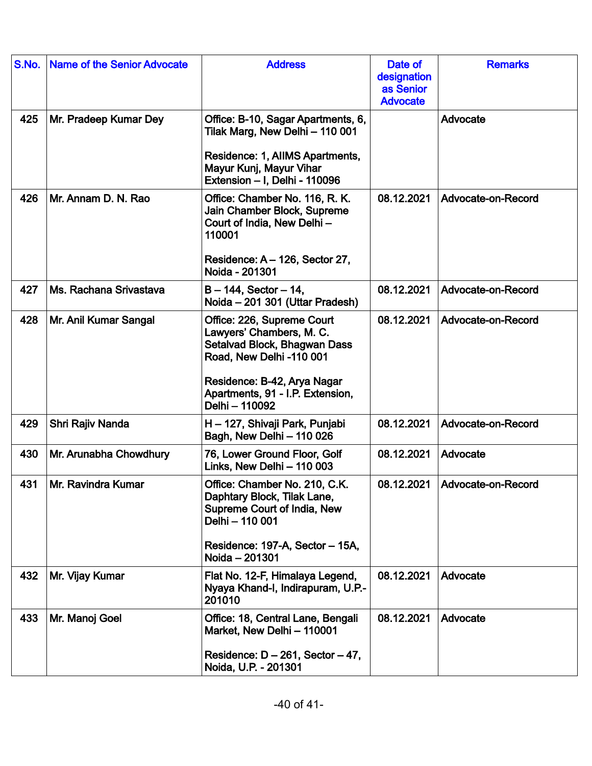| S.No. | <b>Name of the Senior Advocate</b> | <b>Address</b>                                                                                                                                                                                          | Date of<br>designation<br>as Senior<br><b>Advocate</b> | <b>Remarks</b>     |
|-------|------------------------------------|---------------------------------------------------------------------------------------------------------------------------------------------------------------------------------------------------------|--------------------------------------------------------|--------------------|
| 425   | Mr. Pradeep Kumar Dey              | Office: B-10, Sagar Apartments, 6,<br>Tilak Marg, New Delhi - 110 001<br>Residence: 1, AlIMS Apartments,<br>Mayur Kunj, Mayur Vihar<br>Extension - I, Delhi - 110096                                    |                                                        | Advocate           |
| 426   | Mr. Annam D. N. Rao                | Office: Chamber No. 116, R. K.<br>Jain Chamber Block, Supreme<br>Court of India, New Delhi-<br>110001<br>Residence: A - 126, Sector 27,<br>Noida - 201301                                               | 08.12.2021                                             | Advocate-on-Record |
| 427   | Ms. Rachana Srivastava             | $B - 144$ , Sector $-14$ ,<br>Noida - 201 301 (Uttar Pradesh)                                                                                                                                           | 08.12.2021                                             | Advocate-on-Record |
| 428   | Mr. Anil Kumar Sangal              | Office: 226, Supreme Court<br>Lawyers' Chambers, M. C.<br>Setalvad Block, Bhagwan Dass<br>Road, New Delhi -110 001<br>Residence: B-42, Arya Nagar<br>Apartments, 91 - I.P. Extension,<br>Delhi - 110092 | 08.12.2021                                             | Advocate-on-Record |
| 429   | Shri Rajiv Nanda                   | H - 127, Shivaji Park, Punjabi<br>Bagh, New Delhi - 110 026                                                                                                                                             | 08.12.2021                                             | Advocate-on-Record |
| 430   | Mr. Arunabha Chowdhury             | 76, Lower Ground Floor, Golf<br>Links, New Delhi - 110 003                                                                                                                                              | 08.12.2021                                             | Advocate           |
| 431   | Mr. Ravindra Kumar                 | Office: Chamber No. 210, C.K.<br>Daphtary Block, Tilak Lane,<br>Supreme Court of India, New<br>Delhi - 110 001<br>Residence: 197-A, Sector - 15A,<br>Noida - 201301                                     | 08.12.2021                                             | Advocate-on-Record |
| 432   | Mr. Vijay Kumar                    | Flat No. 12-F, Himalaya Legend,<br>Nyaya Khand-I, Indirapuram, U.P.-<br>201010                                                                                                                          | 08.12.2021                                             | Advocate           |
| 433   | Mr. Manoj Goel                     | Office: 18, Central Lane, Bengali<br>Market, New Delhi - 110001<br>Residence: $D - 261$ , Sector $-47$ ,<br>Noida, U.P. - 201301                                                                        | 08.12.2021                                             | Advocate           |